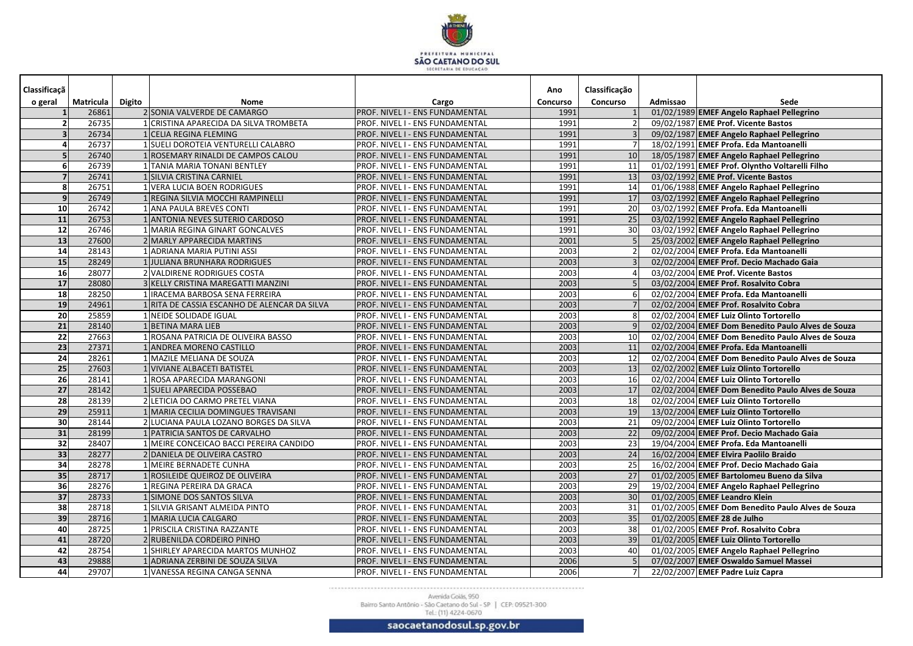

| Classificaçã            |           |               |                                                       |                                        | Ano      | Classificação   |          |                                                   |
|-------------------------|-----------|---------------|-------------------------------------------------------|----------------------------------------|----------|-----------------|----------|---------------------------------------------------|
| o geral                 | Matricula | <b>Digito</b> | Nome                                                  | Cargo                                  | Concurso | <b>Concurso</b> | Admissao | Sede                                              |
|                         | 26861     |               | 2 SONIA VALVERDE DE CAMARGO                           | PROF. NIVEL I - ENS FUNDAMENTAL        | 1991     |                 |          | 01/02/1989 EMEF Angelo Raphael Pellegrino         |
|                         | 26735     |               | CRISTINA APARECIDA DA SILVA TROMBETA                  | PROF. NIVEL I - ENS FUNDAMENTAL        | 1991     |                 |          | 09/02/1987 EME Prof. Vicente Bastos               |
| $\overline{\mathbf{3}}$ | 26734     |               | <b>CELIA REGINA FLEMING</b>                           | PROF. NIVEL I - ENS FUNDAMENTAL        | 1991     |                 |          | 09/02/1987 EMEF Angelo Raphael Pellegrino         |
| 4                       | 26737     |               | <b>SUELI DOROTEIA VENTURELLI CALABRO</b>              | PROF. NIVEL I - ENS FUNDAMENTAL        | 1991     |                 |          | 18/02/1991 EMEF Profa. Eda Mantoanelli            |
| 5                       | 26740     |               | ROSEMARY RINALDI DE CAMPOS CALOU                      | PROF. NIVEL I - ENS FUNDAMENTAL        | 1991     | 10              |          | 18/05/1987 EMEF Angelo Raphael Pellegrino         |
| 6 <sup>1</sup>          | 26739     |               | TANIA MARIA TONANI BENTLEY                            | PROF. NIVEL I - ENS FUNDAMENTAL        | 1991     | 11              |          | 01/02/1991 EMEF Prof. Olyntho Voltarelli Filho    |
| 7 <sup>1</sup>          | 26741     |               | <b>SILVIA CRISTINA CARNIEL</b>                        | PROF. NIVEL I - ENS FUNDAMENTAL        | 1991     | 13              |          | 03/02/1992 EME Prof. Vicente Bastos               |
| 8 <sup>1</sup>          | 26751     |               | <b>VERA LUCIA BOEN RODRIGUES</b>                      | PROF. NIVEL I - ENS FUNDAMENTAL        | 1991     | 14              |          | 01/06/1988 EMEF Angelo Raphael Pellegrino         |
| 9 <sub>l</sub>          | 26749     |               | REGINA SILVIA MOCCHI RAMPINELLI                       | PROF. NIVEL I - ENS FUNDAMENTAL        | 1991     | 17              |          | 03/02/1992 EMEF Angelo Raphael Pellegrino         |
| 10                      | 26742     |               | ANA PAULA BREVES CONTI                                | PROF. NIVEL I - ENS FUNDAMENTAL        | 1991     | 20              |          | 03/02/1992 EMEF Profa. Eda Mantoanelli            |
| 11                      | 26753     |               | ANTONIA NEVES SUTERIO CARDOSO                         | PROF. NIVEL I - ENS FUNDAMENTAL        | 1991     | 25              |          | 03/02/1992 EMEF Angelo Raphael Pellegrino         |
| 12                      | 26746     |               | MARIA REGINA GINART GONCALVES                         | PROF. NIVEL I - ENS FUNDAMENTAL        | 1991     | 30              |          | 03/02/1992 EMEF Angelo Raphael Pellegrino         |
| 13                      | 27600     |               | 2 MARLY APPARECIDA MARTINS                            | PROF. NIVEL I - ENS FUNDAMENTAL        | 2001     |                 |          | 25/03/2002 EMEF Angelo Raphael Pellegrino         |
| 14                      | 28143     |               | ADRIANA MARIA PUTINI ASSI                             | PROF. NIVEL I - ENS FUNDAMENTAL        | 2003     |                 |          | 02/02/2004 EMEF Profa. Eda Mantoanelli            |
| <b>15</b>               | 28249     |               | <b>JULIANA BRUNHARA RODRIGUES</b>                     | PROF. NIVEL I - ENS FUNDAMENTAL        | 2003     |                 |          | 02/02/2004 EMEF Prof. Decio Machado Gaia          |
| 16                      | 28077     |               | VALDIRENE RODRIGUES COSTA                             | PROF. NIVEL I - ENS FUNDAMENTAL        | 2003     |                 |          | 03/02/2004 EME Prof. Vicente Bastos               |
| 17                      | 28080     |               | KELLY CRISTINA MAREGATTI MANZINI                      | PROF. NIVEL I - ENS FUNDAMENTAL        | 2003     |                 |          | 03/02/2004 EMEF Prof. Rosalvito Cobra             |
| 18                      | 28250     |               | IRACEMA BARBOSA SENA FERREIRA                         | PROF. NIVEL I - ENS FUNDAMENTAL        | 2003     |                 |          | 02/02/2004 EMEF Profa. Eda Mantoanelli            |
| 19                      | 24961     |               | RITA DE CASSIA ESCANHO DE ALENCAR DA SILVA            | PROF. NIVEL I - ENS FUNDAMENTAL        | 2003     |                 |          | 02/02/2004 EMEF Prof. Rosalvito Cobra             |
| 20                      | 25859     |               | NEIDE SOLIDADE IGUAL                                  | PROF. NIVEL I - ENS FUNDAMENTAL        | 2003     |                 |          | 02/02/2004 EMEF Luiz Olinto Tortorello            |
| 21                      | 28140     |               | <b>BETINA MARA LIEB</b>                               | PROF. NIVEL I - ENS FUNDAMENTAL        | 2003     |                 |          | 02/02/2004 EMEF Dom Benedito Paulo Alves de Souza |
| 22                      | 27663     |               | ROSANA PATRICIA DE OLIVEIRA BASSO                     | PROF. NIVEL I - ENS FUNDAMENTAL        | 2003     | 10              |          | 02/02/2004 EMEF Dom Benedito Paulo Alves de Souza |
| 23                      | 27371     |               | 1 ANDREA MORENO CASTILLO                              | PROF. NIVEL I - ENS FUNDAMENTAL        | 2003     | 11              |          | 02/02/2004 EMEF Profa. Eda Mantoanelli            |
| 24                      | 28261     |               | 1 MAZILE MELIANA DE SOUZA                             | PROF. NIVEL I - ENS FUNDAMENTAL        | 2003     | 12              |          | 02/02/2004 EMEF Dom Benedito Paulo Alves de Souza |
| 25                      | 27603     |               | 1 VIVIANE ALBACETI BATISTEL                           | PROF. NIVEL I - ENS FUNDAMENTAL        | 2003     | 13              |          | 02/02/2002 EMEF Luiz Olinto Tortorello            |
| $\overline{26}$         | 28141     |               | ROSA APARECIDA MARANGONI                              | PROF. NIVEL I - ENS FUNDAMENTAL        | 2003     | 16              |          | 02/02/2004 EMEF Luiz Olinto Tortorello            |
| $\overline{27}$         | 28142     |               | 1 SUELI APARECIDA POSSEBAO                            | PROF. NIVEL I - ENS FUNDAMENTAL        | 2003     | $\overline{17}$ |          | 02/02/2004 EMEF Dom Benedito Paulo Alves de Souza |
| 28                      | 28139     |               | 2 LETICIA DO CARMO PRETEL VIANA                       | PROF. NIVEL I - ENS FUNDAMENTAL        | 2003     | 18              |          | 02/02/2004 EMEF Luiz Olinto Tortorello            |
| 29                      | 25911     |               | MARIA CECILIA DOMINGUES TRAVISANI                     | PROF. NIVEL I - ENS FUNDAMENTAL        | 2003     | 19              |          | 13/02/2004 EMEF Luiz Olinto Tortorello            |
| 30                      | 28144     |               | 2 LUCIANA PAULA LOZANO BORGES DA SILVA                | PROF. NIVEL I - ENS FUNDAMENTAL        | 2003     | 21              |          | 09/02/2004 EMEF Luiz Olinto Tortorello            |
| 31                      | 28199     |               | 1 PATRICIA SANTOS DE CARVALHO                         | PROF. NIVEL I - ENS FUNDAMENTAL        | 2003     | 22              |          | 09/02/2004 EMEF Prof. Decio Machado Gaia          |
| $\overline{32}$         | 28407     |               | MEIRE CONCEICAO BACCI PEREIRA CANDIDO                 | PROF. NIVEL I - ENS FUNDAMENTAL        | 2003     | 23              |          | 19/04/2004 EMEF Profa. Eda Mantoanelli            |
| 33                      | 28277     |               | 2 DANIELA DE OLIVEIRA CASTRO<br>MEIRE BERNADETE CUNHA | PROF. NIVEL I - ENS FUNDAMENTAL        | 2003     | 24              |          | 16/02/2004 EMEF Elvira Paolilo Braido             |
| 34                      | 28278     |               |                                                       | PROF. NIVEL I - ENS FUNDAMENTAL        | 2003     | 25              |          | 16/02/2004 EMEF Prof. Decio Machado Gaia          |
| 35                      | 28717     |               | 1 ROSILEIDE QUEIROZ DE OLIVEIRA                       | PROF. NIVEL I - ENS FUNDAMENTAL        | 2003     | 27              |          | 01/02/2005 EMEF Bartolomeu Bueno da Silva         |
| 36                      | 28276     |               | 1 REGINA PEREIRA DA GRACA                             | <b>PROF. NIVEL I - ENS FUNDAMENTAL</b> | 2003     | 29<br>30        |          | 19/02/2004 EMEF Angelo Raphael Pellegrino         |
| 37                      | 28733     |               | 1 SIMONE DOS SANTOS SILVA                             | PROF. NIVEL I - ENS FUNDAMENTAL        | 2003     |                 |          | 01/02/2005 EMEF Leandro Klein                     |
| 38                      | 28718     |               | SILVIA GRISANT ALMEIDA PINTO                          | PROF. NIVEL I - ENS FUNDAMENTAL        | 2003     | 31              |          | 01/02/2005 EMEF Dom Benedito Paulo Alves de Souza |
| 39                      | 28716     |               | MARIA LUCIA CALGARO                                   | PROF. NIVEL I - ENS FUNDAMENTAL        | 2003     | 35              |          | 01/02/2005 EMEF 28 de Julho                       |
| 40                      | 28725     |               | PRISCILA CRISTINA RAZZANTE                            | PROF. NIVEL I - ENS FUNDAMENTAL        | 2003     | 38              |          | 01/02/2005 EMEF Prof. Rosalvito Cobra             |
| 41                      | 28720     |               | 2 RUBENILDA CORDEIRO PINHO                            | PROF. NIVEL I - ENS FUNDAMENTAL        | 2003     | 39              |          | 01/02/2005 EMEF Luiz Olinto Tortorello            |
| 42                      | 28754     |               | SHIRLEY APARECIDA MARTOS MUNHOZ                       | PROF. NIVEL I - ENS FUNDAMENTAL        | 2003     | 40              |          | 01/02/2005 EMEF Angelo Raphael Pellegrino         |
| 43                      | 29888     |               | ADRIANA ZERBINI DE SOUZA SILVA                        | PROF. NIVEL I - ENS FUNDAMENTAL        | 2006     |                 |          | 07/02/2007 EMEF Oswaldo Samuel Massei             |
| 44                      | 29707     |               | VANESSA REGINA CANGA SENNA                            | PROF. NIVEL I - ENS FUNDAMENTAL        | 2006     |                 |          | 22/02/2007 EMEF Padre Luiz Capra                  |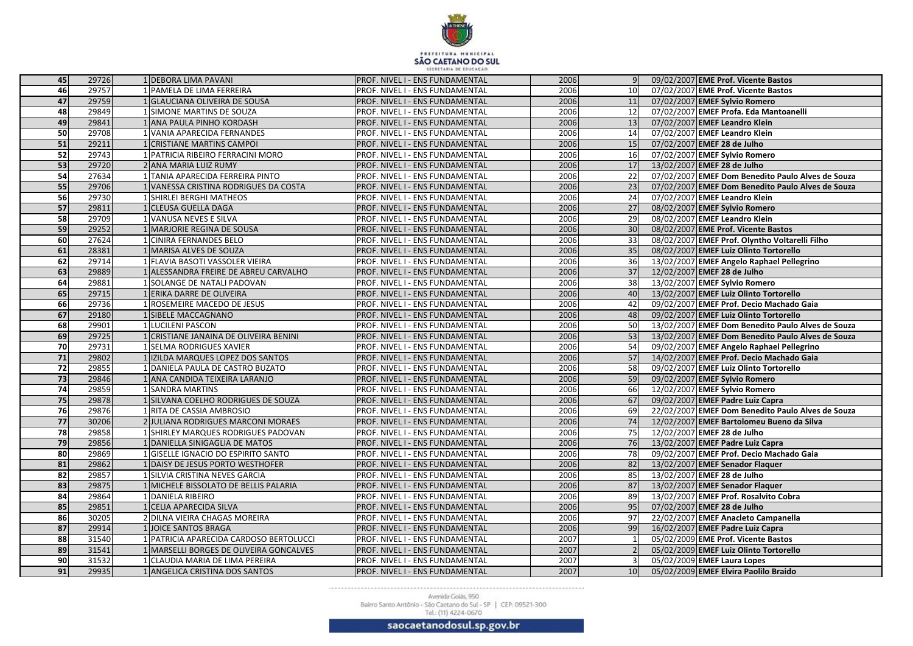

| 45              | 29726 | 1 DEBORA LIMA PAVANI                  | PROF. NIVEL I - ENS FUNDAMENTAL        | 2006 |                 | 09/02/2007 EME Prof. Vicente Bastos               |
|-----------------|-------|---------------------------------------|----------------------------------------|------|-----------------|---------------------------------------------------|
| 46              | 29757 | PAMELA DE LIMA FERREIRA               | PROF. NIVEL I - ENS FUNDAMENTAL        | 2006 | 10 <sup>1</sup> | 07/02/2007 EME Prof. Vicente Bastos               |
| 47              | 29759 | <b>GLAUCIANA OLIVEIRA DE SOUSA</b>    | PROF. NIVEL I - ENS FUNDAMENTAL        | 2006 | 11              | 07/02/2007 EMEF Sylvio Romero                     |
| 48              | 29849 | SIMONE MARTINS DE SOUZA               | PROF. NIVEL I - ENS FUNDAMENTAL        | 2006 | 12              | 07/02/2007 EMEF Profa. Eda Mantoanelli            |
| 49              | 29841 | ANA PAULA PINHO KORDASH               | PROF. NIVEL I - ENS FUNDAMENTAL        | 2006 | 13              | 07/02/2007 EMEF Leandro Klein                     |
| 50              | 29708 | VANIA APARECIDA FERNANDES             | PROF. NIVEL I - ENS FUNDAMENTAL        | 2006 | 14              | 07/02/2007 EMEF Leandro Klein                     |
| 51              | 29211 | <b>CRISTIANE MARTINS CAMPOI</b>       | PROF. NIVEL I - ENS FUNDAMENTAL        | 2006 | 15              | 07/02/2007 EMEF 28 de Julho                       |
| 52              | 29743 | PATRICIA RIBEIRO FERRACINI MORO       | PROF. NIVEL I - ENS FUNDAMENTAL        | 2006 | 16              | 07/02/2007 EMEF Sylvio Romero                     |
| 53              | 29720 | 2 ANA MARIA LUIZ RUMY                 | PROF. NIVEL I - ENS FUNDAMENTAL        | 2006 | 17              | 13/02/2007 EMEF 28 de Julho                       |
| 54              | 27634 | TANIA APARECIDA FERREIRA PINTO        | PROF. NIVEL I - ENS FUNDAMENTAL        | 2006 | 22              | 07/02/2007 EMEF Dom Benedito Paulo Alves de Souza |
| 55              | 29706 | VANESSA CRISTINA RODRIGUES DA COSTA   | PROF. NIVEL I - ENS FUNDAMENTAL        | 2006 | 23              | 07/02/2007 EMEF Dom Benedito Paulo Alves de Souza |
| 56              | 29730 | <b>SHIRLEI BERGHI MATHEOS</b>         | PROF. NIVEL I - ENS FUNDAMENTAL        | 2006 | 24              | 07/02/2007 EMEF Leandro Klein                     |
| 57              | 29811 | <b>CLEUSA GUELLA DAGA</b>             | PROF. NIVEL I - ENS FUNDAMENTAL        | 2006 | 27              | 08/02/2007 EMEF Sylvio Romero                     |
| 58              | 29709 | VANUSA NEVES E SILVA                  | PROF. NIVEL I - ENS FUNDAMENTAL        | 2006 | 29              | 08/02/2007 EMEF Leandro Klein                     |
| 59              | 29252 | MARJORIE REGINA DE SOUSA              | PROF. NIVEL I - ENS FUNDAMENTAL        | 2006 | 30 <sup>1</sup> | 08/02/2007 EME Prof. Vicente Bastos               |
| $\overline{60}$ | 27624 | <b>CINIRA FERNANDES BELO</b>          | PROF. NIVEL I - ENS FUNDAMENTAL        | 2006 | 33 <sup>1</sup> | 08/02/2007 EMEF Prof. Olyntho Voltarelli Filho    |
| 61              | 28381 | MARISA ALVES DE SOUZA                 | PROF. NIVEL I - ENS FUNDAMENTAL        | 2006 | 35              | 08/02/2007 EMEF Luiz Olinto Tortorello            |
| 62              | 29714 | FLAVIA BASOTI VASSOLER VIEIRA         | PROF. NIVEL I - ENS FUNDAMENTAL        | 2006 | 36              | 13/02/2007 EMEF Angelo Raphael Pellegrino         |
| 63              | 29889 | ALESSANDRA FREIRE DE ABREU CARVALHO   | PROF. NIVEL I - ENS FUNDAMENTAL        | 2006 | 37              | 12/02/2007 EMEF 28 de Julho                       |
| 64              | 29881 | SOLANGE DE NATALI PADOVAN             | PROF. NIVEL I - ENS FUNDAMENTAL        | 2006 | 38              | 13/02/2007 EMEF Sylvio Romero                     |
| 65              | 29715 | 1 ERIKA DARRE DE OLIVEIRA             | PROF. NIVEL I - ENS FUNDAMENTAL        | 2006 | 40              | 13/02/2007 EMEF Luiz Olinto Tortorello            |
| 66              | 29736 | ROSEMEIRE MACEDO DE JESUS             | PROF. NIVEL I - ENS FUNDAMENTAL        | 2006 | 42              | 09/02/2007 EMEF Prof. Decio Machado Gaia          |
| 67              | 29180 | SIBELE MACCAGNANO                     | PROF. NIVEL I - ENS FUNDAMENTAL        | 2006 | 48              | 09/02/2007 EMEF Luiz Olinto Tortorello            |
| 68              | 29901 | 1 LUCILENI PASCON                     | PROF. NIVEL I - ENS FUNDAMENTAL        | 2006 | 50              | 13/02/2007 EMEF Dom Benedito Paulo Alves de Souza |
| 69              | 29725 | CRISTIANE JANAINA DE OLIVEIRA BENINI  | PROF. NIVEL I - ENS FUNDAMENTAL        | 2006 | 53              | 13/02/2007 EMEF Dom Benedito Paulo Alves de Souza |
| 70              | 29731 | 1 SELMA RODRIGUES XAVIER              | PROF. NIVEL I - ENS FUNDAMENTAL        | 2006 | 54              | 09/02/2007 EMEF Angelo Raphael Pellegrino         |
| 71              | 29802 | 1 IZILDA MARQUES LOPEZ DOS SANTOS     | PROF. NIVEL I - ENS FUNDAMENTAL        | 2006 | 57              | 14/02/2007 EMEF Prof. Decio Machado Gaia          |
| 72              | 29855 | DANIELA PAULA DE CASTRO BUZATO        | PROF. NIVEL I - ENS FUNDAMENTAL        | 2006 | 58              | 09/02/2007 EMEF Luiz Olinto Tortorello            |
| 73              | 29846 | ANA CANDIDA TEIXEIRA LARANJO          | PROF. NIVEL I - ENS FUNDAMENTAL        | 2006 | 59              | 09/02/2007 EMEF Sylvio Romero                     |
| 74              | 29859 | 1 SANDRA MARTINS                      | PROF. NIVEL I - ENS FUNDAMENTAL        | 2006 | 66              | 12/02/2007 EMEF Sylvio Romero                     |
| 75              | 29878 | 1 SILVANA COELHO RODRIGUES DE SOUZA   | PROF. NIVEL I - ENS FUNDAMENTAL        | 2006 | 67              | 09/02/2007 EMEF Padre Luiz Capra                  |
| 76              | 29876 | 1 RITA DE CASSIA AMBROSIO             | PROF. NIVEL I - ENS FUNDAMENTAL        | 2006 | 69              | 22/02/2007 EMEF Dom Benedito Paulo Alves de Souza |
| 77              | 30206 | 2 JULIANA RODRIGUES MARCONI MORAES    | PROF. NIVEL I - ENS FUNDAMENTAL        | 2006 | 74              | 12/02/2007 EMEF Bartolomeu Bueno da Silva         |
| 78              | 29858 | 1 SHIRLEY MARQUES RODRIGUES PADOVAN   | PROF. NIVEL I - ENS FUNDAMENTAL        | 2006 | 75              | 12/02/2007 EMEF 28 de Julho                       |
| 79              | 29856 | 1 DANIELLA SINIGAGLIA DE MATOS        | PROF. NIVEL I - ENS FUNDAMENTAL        | 2006 | 76              | 13/02/2007 EMEF Padre Luiz Capra                  |
| 80              | 29869 | 1 GISELLE IGNACIO DO ESPIRITO SANTO   | PROF. NIVEL I - ENS FUNDAMENTAL        | 2006 | 78              | 09/02/2007 EMEF Prof. Decio Machado Gaia          |
| 81              | 29862 | 1 DAISY DE JESUS PORTO WESTHOFER      | PROF. NIVEL I - ENS FUNDAMENTAL        | 2006 | 82              | 13/02/2007 EMEF Senador Flaquer                   |
| 82              | 29857 | 1 SILVIA CRISTINA NEVES GARCIA        | PROF. NIVEL I - ENS FUNDAMENTAL        | 2006 | 85              | 13/02/2007 EMEF 28 de Julho                       |
| 83              | 29875 | 1 MICHELE BISSOLATO DE BELLIS PALARIA | <b>PROF. NIVEL I - ENS FUNDAMENTAL</b> | 2006 | 87              | 13/02/2007 EMEF Senador Flaquer                   |
| 84              | 29864 | DANIELA RIBEIRO                       | PROF. NIVEL I - ENS FUNDAMENTAL        | 2006 | 89              | 13/02/2007 EMEF Prof. Rosalvito Cobra             |
| 85              | 29851 | <b>CELIA APARECIDA SILVA</b>          | PROF. NIVEL I - ENS FUNDAMENTAL        | 2006 | 95              | 07/02/2007 EMEF 28 de Julho                       |
| 86              | 30205 | 2 DILNA VIEIRA CHAGAS MOREIRA         | PROF. NIVEL I - ENS FUNDAMENTAL        | 2006 | 97              | 22/02/2007 EMEF Anacleto Campanella               |
| 87              | 29914 | <b>JOICE SANTOS BRAGA</b>             | PROF. NIVEL I - ENS FUNDAMENTAL        | 2006 | 99              | 16/02/2007 EMEF Padre Luiz Capra                  |
| 88              | 31540 | PATRICIA APARECIDA CARDOSO BERTOLUCCI | PROF. NIVEL I - ENS FUNDAMENTAL        | 2007 |                 | 05/02/2009 EME Prof. Vicente Bastos               |
| 89              | 31541 | MARSELLI BORGES DE OLIVEIRA GONCALVES | PROF. NIVEL I - ENS FUNDAMENTAL        | 2007 |                 | 05/02/2009 EMEF Luiz Olinto Tortorello            |
| $\overline{90}$ | 31532 | CLAUDIA MARIA DE LIMA PEREIRA         | PROF. NIVEL I - ENS FUNDAMENTAL        | 2007 |                 | 05/02/2009 EMEF Laura Lopes                       |
| 91              | 29935 | ANGELICA CRISTINA DOS SANTOS          | PROF. NIVEL I - ENS FUNDAMENTAL        | 2007 | 10              | 05/02/2009 EMEF Elvira Paolilo Braido             |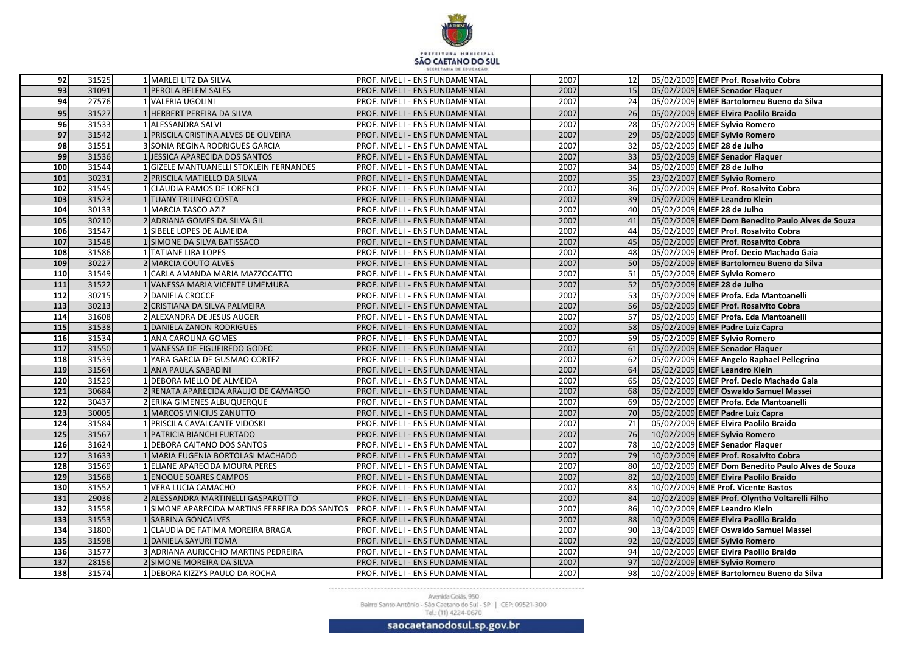

| 92               | 31525          | 1 MARLEI LITZ DA SILVA                                     | <b>PROF. NIVEL I - ENS FUNDAMENTAL</b>                                    | 2007         | 12       | 05/02/2009 EMEF Prof. Rosalvito Cobra                                           |
|------------------|----------------|------------------------------------------------------------|---------------------------------------------------------------------------|--------------|----------|---------------------------------------------------------------------------------|
| 93               | 31091          | 1 PEROLA BELEM SALES                                       | PROF. NIVEL I - ENS FUNDAMENTAL                                           | 2007         | 15       | 05/02/2009 EMEF Senador Flaquer                                                 |
| 94               | 27576          | 1 VALERIA UGOLINI                                          | PROF. NIVEL I - ENS FUNDAMENTAL                                           | 2007         | 24       | 05/02/2009 EMEF Bartolomeu Bueno da Silva                                       |
| 95               | 31527          | HERBERT PEREIRA DA SILVA                                   | PROF. NIVEL I - ENS FUNDAMENTAL                                           | 2007         | 26       | 05/02/2009 EMEF Elvira Paolilo Braido                                           |
| 96               | 31533          | <b>ALESSANDRA SALVI</b>                                    | PROF. NIVEL I - ENS FUNDAMENTAL                                           | 2007         | 28       | 05/02/2009 EMEF Sylvio Romero                                                   |
| 97               | 31542          | PRISCILA CRISTINA ALVES DE OLIVEIRA                        | PROF. NIVEL I - ENS FUNDAMENTAL                                           | 2007         | 29       | 05/02/2009 EMEF Sylvio Romero                                                   |
| 98               | 31551          | 3 SONIA REGINA RODRIGUES GARCIA                            | PROF. NIVEL I - ENS FUNDAMENTAL                                           | 2007         | 32       | 05/02/2009 EMEF 28 de Julho                                                     |
| 99               | 31536          | JESSICA APARECIDA DOS SANTOS                               | PROF. NIVEL I - ENS FUNDAMENTAL                                           | 2007         | 33       | 05/02/2009 EMEF Senador Flaquer                                                 |
| 100              | 31544          | 1 GIZELE MANTUANELLI STOKLEIN FERNANDES                    | PROF. NIVEL I - ENS FUNDAMENTAL                                           | 2007         | 34       | 05/02/2009 EMEF 28 de Julho                                                     |
| 101              | 30231          | 2 PRISCILA MATIELLO DA SILVA                               | PROF. NIVEL I - ENS FUNDAMENTAL                                           | 2007         | 35       | 23/02/2007 EMEF Sylvio Romero                                                   |
| $\frac{102}{2}$  | 31545          | CLAUDIA RAMOS DE LORENCI                                   | PROF. NIVEL I - ENS FUNDAMENTAL                                           | 2007         | 36       | 05/02/2009 EMEF Prof. Rosalvito Cobra                                           |
| 103              | 31523          | <b>TUANY TRIUNFO COSTA</b>                                 | PROF. NIVEL I - ENS FUNDAMENTAL                                           | 2007         | 39       | 05/02/2009 EMEF Leandro Klein                                                   |
| 104              | 30133          | 1 MARCIA TASCO AZIZ                                        | PROF. NIVEL I - ENS FUNDAMENTAL                                           | 2007         | 40       | 05/02/2009 EMEF 28 de Julho                                                     |
| 105              | 30210          | 2 ADRIANA GOMES DA SILVA GIL                               | PROF. NIVEL I - ENS FUNDAMENTAL                                           | 2007         | 41       | 05/02/2009 EMEF Dom Benedito Paulo Alves de Souza                               |
| 106              | 31547          | 1 SIBELE LOPES DE ALMEIDA                                  | PROF. NIVEL I - ENS FUNDAMENTAL                                           | 2007         | 44       | 05/02/2009 EMEF Prof. Rosalvito Cobra                                           |
| 107              | 31548          | 1 SIMONE DA SILVA BATISSACO                                | PROF. NIVEL I - ENS FUNDAMENTAL                                           | 2007         | 45       | 05/02/2009 EMEF Prof. Rosalvito Cobra                                           |
| 108              | 31586          | 1 TATIANE LIRA LOPES                                       | PROF. NIVEL I - ENS FUNDAMENTAL                                           | 2007         | 48       | 05/02/2009 EMEF Prof. Decio Machado Gaia                                        |
| 109              | 30227          | 2 MARCIA COUTO ALVES                                       | PROF. NIVEL I - ENS FUNDAMENTAL                                           | 2007         | 50       | 05/02/2009 EMEF Bartolomeu Bueno da Silva                                       |
| 110              | 31549          | 1 CARLA AMANDA MARIA MAZZOCATTO                            | PROF. NIVEL I - ENS FUNDAMENTAL                                           | 2007         | 51       | 05/02/2009 EMEF Sylvio Romero                                                   |
| 111              | 31522          | 1 VANESSA MARIA VICENTE UMEMURA                            | PROF. NIVEL I - ENS FUNDAMENTAL                                           | 2007         | 52       | 05/02/2009 EMEF 28 de Julho                                                     |
| $\frac{112}{2}$  | 30215          | 2 DANIELA CROCCE                                           | PROF. NIVEL I - ENS FUNDAMENTAL                                           | 2007         | 53       | 05/02/2009 EMEF Profa. Eda Mantoanelli                                          |
| 113              | 30213          | 2 CRISTIANA DA SILVA PALMEIRA                              | PROF. NIVEL I - ENS FUNDAMENTAL                                           | 2007         | 56       | 05/02/2009 EMEF Prof. Rosalvito Cobra                                           |
| $\overline{114}$ | 31608          | 2 ALEXANDRA DE JESUS AUGER                                 | PROF. NIVEL I - ENS FUNDAMENTAL                                           | 2007         | 57       | 05/02/2009 EMEF Profa. Eda Mantoanelli                                          |
| 115              | 31538          | 1 DANIELA ZANON RODRIGUES                                  | PROF. NIVEL I - ENS FUNDAMENTAL                                           | 2007         | 58       | 05/02/2009 EMEF Padre Luiz Capra                                                |
| 116              | 31534          | 1 ANA CAROLINA GOMES                                       | PROF. NIVEL I - ENS FUNDAMENTAL                                           | 2007         | 59       | 05/02/2009 EMEF Sylvio Romero                                                   |
| 117              | 31550          | 1 VANESSA DE FIGUEIREDO GODEC                              | PROF. NIVEL I - ENS FUNDAMENTAL                                           | 2007         | 61       | 05/02/2009 EMEF Senador Flaquer                                                 |
| 118              | 31539          | 1 YARA GARCIA DE GUSMAO CORTEZ                             | PROF. NIVEL I - ENS FUNDAMENTAL                                           | 2007         | 62       | 05/02/2009 EMEF Angelo Raphael Pellegrino                                       |
| 119              | 31564          | 1 ANA PAULA SABADINI                                       | PROF. NIVEL I - ENS FUNDAMENTAL                                           | 2007         | 64       | 05/02/2009 EMEF Leandro Klein                                                   |
| 120              | 31529          | 1 DEBORA MELLO DE ALMEIDA                                  | PROF. NIVEL I - ENS FUNDAMENTAL                                           | 2007         | 65       | 05/02/2009 EMEF Prof. Decio Machado Gaia                                        |
| 121              | 30684          | 2 RENATA APARECIDA ARAUJO DE CAMARGO                       | PROF. NIVEL I - ENS FUNDAMENTAL                                           | 2007         | 68       | 05/02/2009 EMEF Oswaldo Samuel Massei                                           |
| 122              | 30437          | 2 ERIKA GIMENES ALBUQUERQUE                                | PROF. NIVEL I - ENS FUNDAMENTAL                                           | 2007         | 69       | 05/02/2009 EMEF Profa. Eda Mantoanelli                                          |
| 123              | 30005          | 1 MARCOS VINICIUS ZANUTTO                                  | PROF. NIVEL I - ENS FUNDAMENTAL                                           | 2007         | 70       | 05/02/2009 EMEF Padre Luiz Capra                                                |
| $\frac{124}{x}$  | 31584          | 1 PRISCILA CAVALCANTE VIDOSKI                              | PROF. NIVEL I - ENS FUNDAMENTAL                                           | 2007         | 71       | 05/02/2009 EMEF Elvira Paolilo Braido                                           |
| $\overline{125}$ | 31567          | 1 PATRICIA BIANCHI FURTADO                                 | PROF. NIVEL I - ENS FUNDAMENTAL                                           | 2007         | 76       | 10/02/2009 EMEF Sylvio Romero                                                   |
| 126              | 31624          | 1 DEBORA CAITANO DOS SANTOS                                | PROF. NIVEL I - ENS FUNDAMENTAL                                           | 2007         | 78       | 10/02/2009 EMEF Senador Flaquer                                                 |
| 127              | 31633          | MARIA EUGENIA BORTOLASI MACHADO                            | PROF. NIVEL I - ENS FUNDAMENTAL                                           | 2007         | 79       | 10/02/2009 EMEF Prof. Rosalvito Cobra                                           |
| 128<br>$129$     | 31569          | ELIANE APARECIDA MOURA PERES                               | PROF. NIVEL I - ENS FUNDAMENTAL                                           | 2007         | 80<br>82 | 10/02/2009 EMEF Dom Benedito Paulo Alves de Souza                               |
|                  | 31568          | 1 ENOQUE SOARES CAMPOS                                     | PROF. NIVEL I - ENS FUNDAMENTAL                                           | 2007         |          | 10/02/2009 EMEF Elvira Paolilo Braido                                           |
| 130              | 31552<br>29036 | 1 VERA LUCIA CAMACHO<br>2 ALESSANDRA MARTINELLI GASPAROTTO | PROF. NIVEL I - ENS FUNDAMENTAL                                           | 2007         | 83<br>84 | 10/02/2009 EME Prof. Vicente Bastos                                             |
| 131<br>132       | 31558          | 1 SIMONE APARECIDA MARTINS FERREIRA DOS SANTOS             | PROF. NIVEL I - ENS FUNDAMENTAL<br><b>PROF. NIVEL I - ENS FUNDAMENTAL</b> | 2007<br>2007 | 86       | 10/02/2009 EMEF Prof. Olyntho Voltarelli Filho<br>10/02/2009 EMEF Leandro Klein |
| 133              | 31553          | 1 SABRINA GONCALVES                                        | PROF. NIVEL I - ENS FUNDAMENTAL                                           | 2007         | 88       | 10/02/2009 EMEF Elvira Paolilo Braido                                           |
| 134              | 31800          | CLAUDIA DE FATIMA MOREIRA BRAGA                            | PROF. NIVEL I - ENS FUNDAMENTAL                                           | 2007         | 90       | 13/04/2009 EMEF Oswaldo Samuel Massei                                           |
| 135              | 31598          | DANIELA SAYURI TOMA                                        | PROF. NIVEL I - ENS FUNDAMENTAL                                           | 2007         | 92       | 10/02/2009 EMEF Sylvio Romero                                                   |
| 136              | 31577          | 3 ADRIANA AURICCHIO MARTINS PEDREIRA                       | PROF. NIVEL I - ENS FUNDAMENTAL                                           | 2007         | 94       | 10/02/2009 EMEF Elvira Paolilo Braido                                           |
| 137              | 28156          | 2 SIMONE MOREIRA DA SILVA                                  | PROF. NIVEL I - ENS FUNDAMENTAL                                           | 2007         | 97       | 10/02/2009 EMEF Sylvio Romero                                                   |
| 138              | 31574          | 1 DEBORA KIZZYS PAULO DA ROCHA                             | PROF. NIVEL I - ENS FUNDAMENTAL                                           | 2007         | 98       | 10/02/2009 EMEF Bartolomeu Bueno da Silva                                       |
|                  |                |                                                            |                                                                           |              |          |                                                                                 |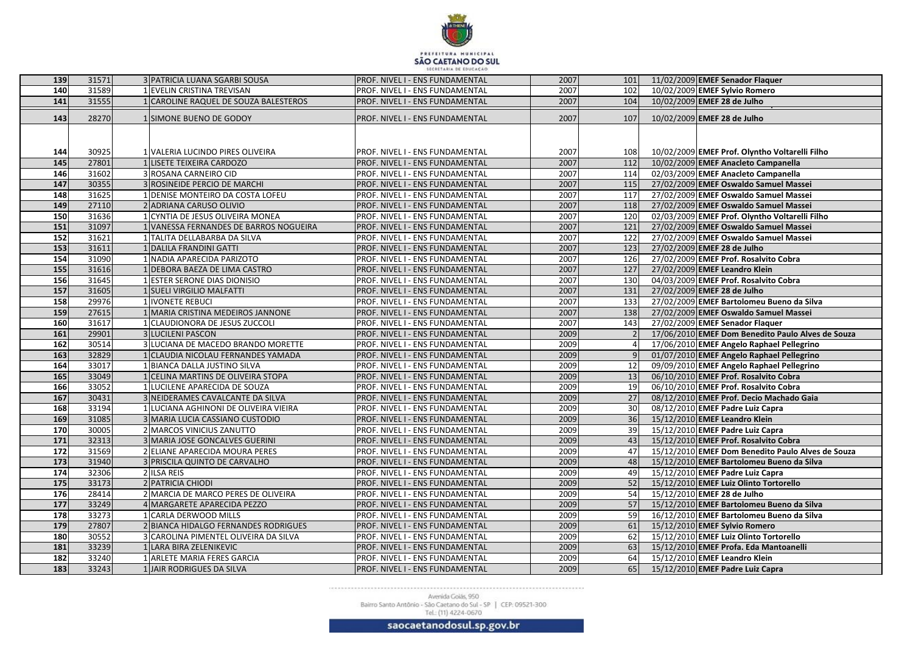

| 139             | 31571          | 3 PATRICIA LUANA SGARBI SOUSA                                   | PROF. NIVEL I - ENS FUNDAMENTAL                                    | 2007         | 101      | 11/02/2009 EMEF Senador Flaquer                                                                |
|-----------------|----------------|-----------------------------------------------------------------|--------------------------------------------------------------------|--------------|----------|------------------------------------------------------------------------------------------------|
| 140             | 31589          | 1 EVELIN CRISTINA TREVISAN                                      | PROF. NIVEL I - ENS FUNDAMENTAL                                    | 2007         | 102      | 10/02/2009 EMEF Sylvio Romero                                                                  |
| 141             | 31555          | 1 CAROLINE RAQUEL DE SOUZA BALESTEROS                           | PROF. NIVEL I - ENS FUNDAMENTAL                                    | 2007         | 104      | 10/02/2009 EMEF 28 de Julho                                                                    |
| 143             | 28270          | 1 SIMONE BUENO DE GODOY                                         | PROF. NIVEL I - ENS FUNDAMENTAL                                    | 2007         | 107      | 10/02/2009 EMEF 28 de Julho                                                                    |
|                 |                |                                                                 |                                                                    |              |          |                                                                                                |
|                 |                |                                                                 |                                                                    |              |          |                                                                                                |
| 144             | 30925          | 1 VALERIA LUCINDO PIRES OLIVEIRA                                | PROF. NIVEL I - ENS FUNDAMENTAL                                    | 2007         | 1081     | 10/02/2009 EMEF Prof. Olyntho Voltarelli Filho                                                 |
| 145             | 27801          | LISETE TEIXEIRA CARDOZO                                         | PROF. NIVEL I - ENS FUNDAMENTAL                                    | 2007         | 112      | 10/02/2009 EMEF Anacleto Campanella                                                            |
| 146             | 31602          | 3 ROSANA CARNEIRO CID                                           | PROF. NIVEL I - ENS FUNDAMENTAL                                    | 2007         | 114      | 02/03/2009 EMEF Anacleto Campanella                                                            |
| 147             | 30355          | 3 ROSINEIDE PERCIO DE MARCHI                                    | PROF. NIVEL I - ENS FUNDAMENTAL                                    | 2007         | 115      | 27/02/2009 EMEF Oswaldo Samuel Massei                                                          |
| 148             | 31625          | 1 DENISE MONTEIRO DA COSTA LOFEU                                | PROF. NIVEL I - ENS FUNDAMENTAL                                    | 2007         | 117      | 27/02/2009 EMEF Oswaldo Samuel Massei                                                          |
| 149             | 27110          | 2 ADRIANA CARUSO OLIVIO                                         | PROF. NIVEL I - ENS FUNDAMENTAL                                    | 2007         | 118      | 27/02/2009 EMEF Oswaldo Samuel Massei                                                          |
| 150             | 31636          | CYNTIA DE JESUS OLIVEIRA MONEA                                  | PROF. NIVEL I - ENS FUNDAMENTAL                                    | 2007         | 120      | 02/03/2009 EMEF Prof. Olyntho Voltarelli Filho                                                 |
| 151             | 31097          | 1 VANESSA FERNANDES DE BARROS NOGUEIRA                          | PROF. NIVEL I - ENS FUNDAMENTAL                                    | 2007         | 121      | 27/02/2009 EMEF Oswaldo Samuel Massei                                                          |
| 152             | 31621          | 1 TALITA DELLABARBA DA SILVA                                    | PROF. NIVEL I - ENS FUNDAMENTAL                                    | 2007         | 122      | 27/02/2009 EMEF Oswaldo Samuel Massei                                                          |
| 153             | 31611          | 1 DALILA FRANDINI GATTI                                         | PROF. NIVEL I - ENS FUNDAMENTAL                                    | 2007         | 123      | 27/02/2009 EMEF 28 de Julho                                                                    |
| 154             | 31090          | 1 NADIA APARECIDA PARIZOTO                                      | PROF. NIVEL I - ENS FUNDAMENTAL                                    | 2007         | 126      | 27/02/2009 EMEF Prof. Rosalvito Cobra                                                          |
| 155             | 31616          | 1 DEBORA BAEZA DE LIMA CASTRO                                   | PROF. NIVEL I - ENS FUNDAMENTAL                                    | 2007         | 127      | 27/02/2009 EMEF Leandro Klein                                                                  |
| 156             | 31645          | 1 ESTER SERONE DIAS DIONISIO                                    | PROF. NIVEL I - ENS FUNDAMENTAL                                    | 2007         | 130      | 04/03/2009 EMEF Prof. Rosalvito Cobra                                                          |
| 157             | 31605          | 1 SUELI VIRGILIO MALFATTI                                       | PROF. NIVEL I - ENS FUNDAMENTAL                                    | 2007         | 131      | 27/02/2009 EMEF 28 de Julho                                                                    |
| 158             | 29976          | 1 IVONETE REBUCI                                                | PROF. NIVEL I - ENS FUNDAMENTAL                                    | 2007         | 133      | 27/02/2009 EMEF Bartolomeu Bueno da Silva                                                      |
| 159             | 27615          | 1 MARIA CRISTINA MEDEIROS JANNONE                               | PROF. NIVEL I - ENS FUNDAMENTAL                                    | 2007         | 138      | 27/02/2009 EMEF Oswaldo Samuel Massei                                                          |
| <b>160</b>      | 31617          | 1 CLAUDIONORA DE JESUS ZUCCOLI                                  | PROF. NIVEL I - ENS FUNDAMENTAL                                    | 2007         | 143      | 27/02/2009 EMEF Senador Flaquer                                                                |
| 161             | 29901          | 3 LUCILENI PASCON                                               | PROF. NIVEL I - ENS FUNDAMENTAL                                    | 2009         |          | 17/06/2010 EMEF Dom Benedito Paulo Alves de Souza                                              |
| 162             | 30514          | 3 LUCIANA DE MACEDO BRANDO MORETTE                              | PROF. NIVEL I - ENS FUNDAMENTAL                                    | 2009         |          | 17/06/2010 EMEF Angelo Raphael Pellegrino                                                      |
| 163             | 32829          | 1 CLAUDIA NICOLAU FERNANDES YAMADA                              | PROF. NIVEL I - ENS FUNDAMENTAL                                    | 2009         |          | 01/07/2010 EMEF Angelo Raphael Pellegrino                                                      |
| 164             | 33017          | 1 BIANCA DALLA JUSTINO SILVA                                    | PROF. NIVEL I - ENS FUNDAMENTAL                                    | 2009         | 12       | 09/09/2010 EMEF Angelo Raphael Pellegrino                                                      |
| 165             | 33049          | 1 CELINA MARTINS DE OLIVEIRA STOPA                              | PROF. NIVEL I - ENS FUNDAMENTAL                                    | 2009         | 13       | 06/10/2010 EMEF Prof. Rosalvito Cobra                                                          |
| 166             | 33052          | 1 LUCILENE APARECIDA DE SOUZA                                   | PROF. NIVEL I - ENS FUNDAMENTAL                                    | 2009         | 19       | 06/10/2010 EMEF Prof. Rosalvito Cobra                                                          |
| 167             | 30431          | 3 NEIDERAMES CAVALCANTE DA SILVA                                | PROF. NIVEL I - ENS FUNDAMENTAL                                    | 2009         | 27       | 08/12/2010 EMEF Prof. Decio Machado Gaia                                                       |
| 168             | 33194          | 1 LUCIANA AGHINONI DE OLIVEIRA VIEIRA                           | PROF. NIVEL I - ENS FUNDAMENTAL                                    | 2009         | 30       | 08/12/2010 EMEF Padre Luiz Capra                                                               |
| 169             | 31085          | 3 MARIA LUCIA CASSIANO CUSTODIO                                 | PROF. NIVEL I - ENS FUNDAMENTAL                                    | 2009         | 36       | 15/12/2010 EMEF Leandro Klein                                                                  |
| 170             | 30005          | 2 MARCOS VINICIUS ZANUTTO                                       | PROF. NIVEL I - ENS FUNDAMENTAL                                    | 2009         | 39       | 15/12/2010 EMEF Padre Luiz Capra                                                               |
| 171             | 32313          | 3 MARIA JOSE GONCALVES GUERINI                                  | PROF. NIVEL I - ENS FUNDAMENTAL                                    | 2009         | 43<br>47 | 15/12/2010 EMEF Prof. Rosalvito Cobra                                                          |
| 172<br>173      | 31569<br>31940 | 2 ELIANE APARECIDA MOURA PERES<br>3 PRISCILA QUINTO DE CARVALHO | PROF. NIVEL I - ENS FUNDAMENTAL<br>PROF. NIVEL I - ENS FUNDAMENTAL | 2009<br>2009 | 48       | 15/12/2010 EMEF Dom Benedito Paulo Alves de Souza<br>15/12/2010 EMEF Bartolomeu Bueno da Silva |
| 174             | 32306          | 2 ILSA REIS                                                     | PROF. NIVEL I - ENS FUNDAMENTAL                                    | 2009         | 49       | 15/12/2010 EMEF Padre Luiz Capra                                                               |
| <b>175</b>      | 33173          | 2 PATRICIA CHIODI                                               | <b>PROF. NIVEL I - ENS FUNDAMENTAL</b>                             | 2009         | 52       | 15/12/2010 EMEF Luiz Olinto Tortorello                                                         |
| $\frac{176}{ }$ | 28414          | 2 MARCIA DE MARCO PERES DE OLIVEIRA                             | PROF. NIVEL I - ENS FUNDAMENTAL                                    | 2009         | 54       | 15/12/2010 EMEF 28 de Julho                                                                    |
| 177             | 33249          | 4 MARGARETE APARECIDA PEZZO                                     | PROF. NIVEL I - ENS FUNDAMENTAL                                    | 2009         | 57       | 15/12/2010 EMEF Bartolomeu Bueno da Silva                                                      |
| 178             | 33273          | 1 CARLA DERWOOD MILLS                                           | PROF. NIVEL I - ENS FUNDAMENTAL                                    | 2009         | 59       | 16/12/2010 EMEF Bartolomeu Bueno da Silva                                                      |
| 179             | 27807          | 2 BIANCA HIDALGO FERNANDES RODRIGUES                            | PROF. NIVEL I - ENS FUNDAMENTAL                                    | 2009         | 61       | 15/12/2010 EMEF Sylvio Romero                                                                  |
| 180             | 30552          | 3 CAROLINA PIMENTEL OLIVEIRA DA SILVA                           | PROF. NIVEL I - ENS FUNDAMENTAL                                    | 2009         | 62       | 15/12/2010 EMEF Luiz Olinto Tortorello                                                         |
| 181             | 33239          | 1 LARA BIRA ZELENIKEVIC                                         | PROF. NIVEL I - ENS FUNDAMENTAL                                    | 2009         | 63       | 15/12/2010 EMEF Profa. Eda Mantoanelli                                                         |
| 182             | 33240          | 1 ARLETE MARIA FERES GARCIA                                     | PROF. NIVEL I - ENS FUNDAMENTAL                                    | 2009         | 64       | 15/12/2010 EMEF Leandro Klein                                                                  |
| 183             | 33243          | 1 JAIR RODRIGUES DA SILVA                                       | PROF. NIVEL I - ENS FUNDAMENTAL                                    | 2009         | 65       | 15/12/2010 EMEF Padre Luiz Capra                                                               |
|                 |                |                                                                 |                                                                    |              |          |                                                                                                |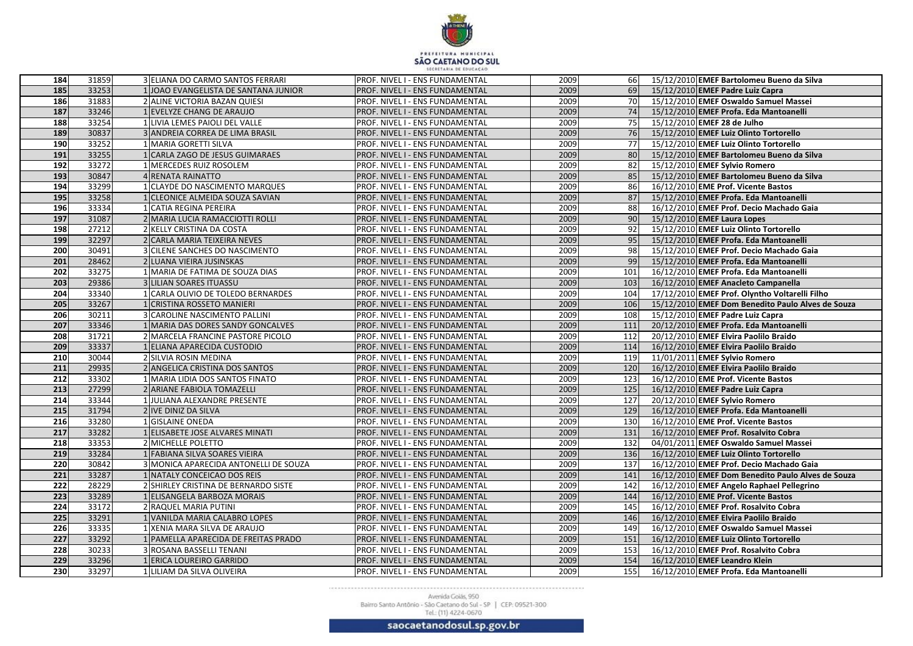

| 184        | 31859          | 3 ELIANA DO CARMO SANTOS FERRARI                     | <b>PROF. NIVEL I - ENS FUNDAMENTAL</b>                             | 2009         | 66              | 15/12/2010 EMEF Bartolomeu Bueno da Silva                                      |
|------------|----------------|------------------------------------------------------|--------------------------------------------------------------------|--------------|-----------------|--------------------------------------------------------------------------------|
| 185        | 33253          | 1 JOAO EVANGELISTA DE SANTANA JUNIOR                 | PROF. NIVEL I - ENS FUNDAMENTAL                                    | 2009         | 69              | 15/12/2010 EMEF Padre Luiz Capra                                               |
| <b>186</b> | 31883          | 2 ALINE VICTORIA BAZAN QUIESI                        | PROF. NIVEL I - ENS FUNDAMENTAL                                    | 2009         | 70 <b>I</b>     | 15/12/2010 EMEF Oswaldo Samuel Massei                                          |
| 187        | 33246          | 1 EVELYZE CHANG DE ARAUJO                            | PROF. NIVEL I - ENS FUNDAMENTAL                                    | 2009         | 74              | 15/12/2010 EMEF Profa. Eda Mantoanelli                                         |
| 188        | 33254          | 1 LIVIA LEMES PAIOLI DEL VALLE                       | PROF. NIVEL I - ENS FUNDAMENTAL                                    | 2009         | 75I             | 15/12/2010 EMEF 28 de Julho                                                    |
| 189        | 30837          | 3 ANDREIA CORREA DE LIMA BRASIL                      | PROF. NIVEL I - ENS FUNDAMENTAL                                    | 2009         | 76              | 15/12/2010 EMEF Luiz Olinto Tortorello                                         |
| 190        | 33252          | 1 MARIA GORETTI SILVA                                | PROF. NIVEL I - ENS FUNDAMENTAL                                    | 2009         | 77              | 15/12/2010 EMEF Luiz Olinto Tortorello                                         |
| 191        | 33255          | 1 CARLA ZAGO DE JESUS GUIMARAES                      | PROF. NIVEL I - ENS FUNDAMENTAL                                    | 2009         | 80 <sup> </sup> | 15/12/2010 EMEF Bartolomeu Bueno da Silva                                      |
| 192        | 33272          | 1 MERCEDES RUIZ ROSOLEM                              | PROF. NIVEL I - ENS FUNDAMENTAL                                    | 2009         | 82              | 15/12/2010 EMEF Sylvio Romero                                                  |
| 193        | 30847          | 4 RENATA RAINATTO                                    | PROF. NIVEL I - ENS FUNDAMENTAL                                    | 2009         | 85              | 15/12/2010 EMEF Bartolomeu Bueno da Silva                                      |
| 194        | 33299          | 1 CLAYDE DO NASCIMENTO MARQUES                       | PROF. NIVEL I - ENS FUNDAMENTAL                                    | 2009         | 86              | 16/12/2010 EME Prof. Vicente Bastos                                            |
| 195        | 33258          | 1 CLEONICE ALMEIDA SOUZA SAVIAN                      | PROF. NIVEL I - ENS FUNDAMENTAL                                    | 2009         | 87              | 15/12/2010 EMEF Profa. Eda Mantoanelli                                         |
| 196        | 33334          | 1 CATIA REGINA PEREIRA                               | PROF. NIVEL I - ENS FUNDAMENTAL                                    | 2009         | 88              | 16/12/2010 EMEF Prof. Decio Machado Gaia                                       |
| 197        | 31087          | 2 MARIA LUCIA RAMACCIOTTI ROLLI                      | PROF. NIVEL I - ENS FUNDAMENTAL                                    | 2009         | 90              | 15/12/2010 EMEF Laura Lopes                                                    |
| 198        | 27212          | 2 KELLY CRISTINA DA COSTA                            | PROF. NIVEL I - ENS FUNDAMENTAL                                    | 2009         | 92              | 15/12/2010 EMEF Luiz Olinto Tortorello                                         |
| 199        | 32297          | 2 CARLA MARIA TEIXEIRA NEVES                         | PROF. NIVEL I - ENS FUNDAMENTAL                                    | 2009         | 95              | 15/12/2010 EMEF Profa. Eda Mantoanelli                                         |
| 200        | 30491          | 3 CILENE SANCHES DO NASCIMENTO                       | PROF. NIVEL I - ENS FUNDAMENTAL                                    | 2009         | 98              | 15/12/2010 EMEF Prof. Decio Machado Gaia                                       |
| 201        | 28462          | 2 LUANA VIEIRA JUSINSKAS                             | PROF. NIVEL I - ENS FUNDAMENTAL                                    | 2009         | 99              | 15/12/2010 EMEF Profa. Eda Mantoanelli                                         |
| 202        | 33275          | 1 MARIA DE FATIMA DE SOUZA DIAS                      | PROF. NIVEL I - ENS FUNDAMENTAL                                    | 2009         | 101             | 16/12/2010 EMEF Profa. Eda Mantoanelli                                         |
| 203        | 29386          | 3 LILIAN SOARES ITUASSU                              | PROF. NIVEL I - ENS FUNDAMENTAL                                    | 2009         | 103             | 16/12/2010 EMEF Anacleto Campanella                                            |
| 204        | 33340          | CARLA OLIVIO DE TOLEDO BERNARDES                     | PROF. NIVEL I - ENS FUNDAMENTAL                                    | 2009         | 104             | 17/12/2010 EMEF Prof. Olyntho Voltarelli Filho                                 |
| 205        | 33267          | CRISTINA ROSSETO MANIERI                             | PROF. NIVEL I - ENS FUNDAMENTAL                                    | 2009         | 106             | 15/12/2010 EMEF Dom Benedito Paulo Alves de Souza                              |
| 206        | 30211          | 3 CAROLINE NASCIMENTO PALLINI                        | PROF. NIVEL I - ENS FUNDAMENTAL                                    | 2009         | 108             | 15/12/2010 EMEF Padre Luiz Capra                                               |
| 207        | 33346          | MARIA DAS DORES SANDY GONCALVES                      | PROF. NIVEL I - ENS FUNDAMENTAL                                    | 2009         | 111             | 20/12/2010 EMEF Profa. Eda Mantoanelli                                         |
| 208        | 31721          | 2 MARCELA FRANCINE PASTORE PICOLO                    | PROF. NIVEL I - ENS FUNDAMENTAL                                    | 2009         | 112             | 20/12/2010 EMEF Elvira Paolilo Braido                                          |
| 209        | 33337          | ELIANA APARECIDA CUSTODIO                            | PROF. NIVEL I - ENS FUNDAMENTAL                                    | 2009         | 114             | 16/12/2010 EMEF Elvira Paolilo Braido                                          |
| 210        | 30044          | 2 SILVIA ROSIN MEDINA                                | PROF. NIVEL I - ENS FUNDAMENTAL                                    | 2009         | 119             | 11/01/2011 EMEF Sylvio Romero                                                  |
| 211        | 29935          | 2 ANGELICA CRISTINA DOS SANTOS                       | PROF. NIVEL I - ENS FUNDAMENTAL                                    | 2009         | <b>120</b>      | 16/12/2010 EMEF Elvira Paolilo Braido                                          |
| 212        | 33302          | MARIA LIDIA DOS SANTOS FINATO                        | PROF. NIVEL I - ENS FUNDAMENTAL                                    | 2009         | 123             | 16/12/2010 EME Prof. Vicente Bastos                                            |
| 213        | 27299          | 2 ARIANE FABIOLA TOMAZELLI                           | PROF. NIVEL I - ENS FUNDAMENTAL                                    | 2009         | 125             | 16/12/2010 EMEF Padre Luiz Capra                                               |
| 214        | 33344          | JULIANA ALEXANDRE PRESENTE                           | PROF. NIVEL I - ENS FUNDAMENTAL                                    | 2009         | 127             | 20/12/2010 EMEF Sylvio Romero                                                  |
| 215        | 31794          | 2 IVE DINIZ DA SILVA                                 | PROF. NIVEL I - ENS FUNDAMENTAL                                    | 2009         | 129             | 16/12/2010 EMEF Profa. Eda Mantoanelli                                         |
| 216        | 33280          | <b>GISLAINE ONEDA</b>                                | PROF. NIVEL I - ENS FUNDAMENTAL                                    | 2009         | 130             | 16/12/2010 EME Prof. Vicente Bastos                                            |
| 217        | 33282          | LELISABETE JOSE ALVARES MINATI                       | PROF. NIVEL I - ENS FUNDAMENTAL                                    | 2009         | 131             | 16/12/2010 EMEF Prof. Rosalvito Cobra                                          |
| 218        | 33353          | 2 MICHELLE POLETTO                                   | PROF. NIVEL I - ENS FUNDAMENTAL                                    | 2009         | 132             | 04/01/2011 EMEF Oswaldo Samuel Massei                                          |
| 219        | 33284          | <b>FABIANA SILVA SOARES VIEIRA</b>                   | PROF. NIVEL I - ENS FUNDAMENTAL                                    | 2009         | 136             | 16/12/2010 EMEF Luiz Olinto Tortorello                                         |
| 220        | 30842          | 3 MONICA APARECIDA ANTONELLI DE SOUZA                | PROF. NIVEL I - ENS FUNDAMENTAL                                    | 2009         | 137             | 16/12/2010 EMEF Prof. Decio Machado Gaia                                       |
| 221        | 33287          | 1 NATALY CONCEICAO DOS REIS                          | PROF. NIVEL I - ENS FUNDAMENTAL                                    | 2009         | 141             | 16/12/2010 EMEF Dom Benedito Paulo Alves de Souza                              |
| 222<br>223 | 28229          | 2 SHIRLEY CRISTINA DE BERNARDO SISTE                 | PROF. NIVEL I - ENS FUNDAMENTAL                                    | 2009         | 142             | 16/12/2010 EMEF Angelo Raphael Pellegrino                                      |
| 224        | 33289<br>33172 | 1 ELISANGELA BARBOZA MORAIS<br>2 RAQUEL MARIA PUTINI | PROF. NIVEL I - ENS FUNDAMENTAL                                    | 2009<br>2009 | 144             | 16/12/2010 EME Prof. Vicente Bastos                                            |
| 225        | 33291          | 1 VANILDA MARIA CALABRO LOPES                        | PROF. NIVEL I - ENS FUNDAMENTAL<br>PROF. NIVEL I - ENS FUNDAMENTAL | 2009         | 145<br>146      | 16/12/2010 EMEF Prof. Rosalvito Cobra<br>16/12/2010 EMEF Elvira Paolilo Braido |
| 226        | 33335          | 1 XENIA MARA SILVA DE ARAUJO                         | PROF. NIVEL I - ENS FUNDAMENTAL                                    | 2009         | 149             | 16/12/2010 EMEF Oswaldo Samuel Massei                                          |
| 227        | 33292          | 1 PAMELLA APARECIDA DE FREITAS PRADO                 | PROF. NIVEL I - ENS FUNDAMENTAL                                    | 2009         | 151             | 16/12/2010 EMEF Luiz Olinto Tortorello                                         |
| 228        | 30233          | 3 ROSANA BASSELLI TENANI                             | PROF. NIVEL I - ENS FUNDAMENTAL                                    | 2009         | 153             | 16/12/2010 EMEF Prof. Rosalvito Cobra                                          |
| 229        | 33296          | 1 ERICA LOUREIRO GARRIDO                             | PROF. NIVEL I - ENS FUNDAMENTAL                                    | 2009         | 154             | 16/12/2010 EMEF Leandro Klein                                                  |
| 230        | 33297          | 1 LILIAM DA SILVA OLIVEIRA                           | PROF. NIVEL I - ENS FUNDAMENTAL                                    | 2009         | 155             | 16/12/2010 EMEF Profa. Eda Mantoanelli                                         |
|            |                |                                                      |                                                                    |              |                 |                                                                                |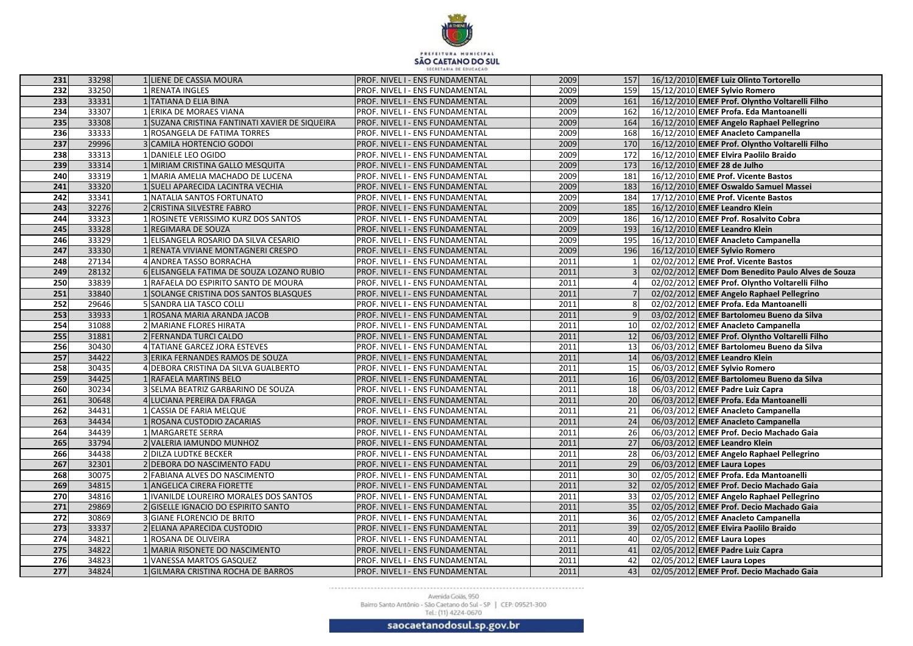

| 231              | 33298          | 1 LIENE DE CASSIA MOURA                                              | <b>PROF. NIVEL I - ENS FUNDAMENTAL</b>                             | 2009         | 157      | 16/12/2010 EMEF Luiz Olinto Tortorello                                          |                                                   |
|------------------|----------------|----------------------------------------------------------------------|--------------------------------------------------------------------|--------------|----------|---------------------------------------------------------------------------------|---------------------------------------------------|
| $\overline{232}$ | 33250          | 1 RENATA INGLES                                                      | PROF. NIVEL I - ENS FUNDAMENTAL                                    | 2009         | 159      | 15/12/2010 EMEF Sylvio Romero                                                   |                                                   |
| 233              | 33331          | 1 TATIANA D ELIA BINA                                                | PROF. NIVEL I - ENS FUNDAMENTAL                                    | 2009         | 161      |                                                                                 | 16/12/2010 EMEF Prof. Olyntho Voltarelli Filho    |
| 234              | 33307          | 1 ERIKA DE MORAES VIANA                                              | PROF. NIVEL I - ENS FUNDAMENTAL                                    | 2009         | 162      | 16/12/2010 EMEF Profa. Eda Mantoanelli                                          |                                                   |
| 235              | 33308          | 1 SUZANA CRISTINA FANTINATI XAVIER DE SIQUEIRA                       | PROF. NIVEL I - ENS FUNDAMENTAL                                    | 2009         | 164      | 16/12/2010 EMEF Angelo Raphael Pellegrino                                       |                                                   |
| 236              | 33333          | 1 ROSANGELA DE FATIMA TORRES                                         | PROF. NIVEL I - ENS FUNDAMENTAL                                    | 2009         | 168      | 16/12/2010 EMEF Anacleto Campanella                                             |                                                   |
| 237              | 29996          | 3 CAMILA HORTENCIO GODOI                                             | PROF. NIVEL I - ENS FUNDAMENTAL                                    | 2009         | 170      |                                                                                 | 16/12/2010 EMEF Prof. Olyntho Voltarelli Filho    |
| 238              | 33313          | 1 DANIELE LEO OGIDO                                                  | PROF. NIVEL I - ENS FUNDAMENTAL                                    | 2009         | 172      | 16/12/2010 EMEF Elvira Paolilo Braido                                           |                                                   |
| 239              | 33314          | 1 MIRIAM CRISTINA GALLO MESQUITA                                     | PROF. NIVEL I - ENS FUNDAMENTAL                                    | 2009         | 173      | 16/12/2010 EMEF 28 de Julho                                                     |                                                   |
| 240              | 33319          | 1 MARIA AMELIA MACHADO DE LUCENA                                     | PROF. NIVEL I - ENS FUNDAMENTAL                                    | 2009         | 181      | 16/12/2010 EME Prof. Vicente Bastos                                             |                                                   |
| 241              | 33320          | 1 SUELI APARECIDA LACINTRA VECHIA                                    | PROF. NIVEL I - ENS FUNDAMENTAL                                    | 2009         | 183      | 16/12/2010 EMEF Oswaldo Samuel Massei                                           |                                                   |
| 242              | 33341          | 1 NATALIA SANTOS FORTUNATO                                           | PROF. NIVEL I - ENS FUNDAMENTAL                                    | 2009         | 184      | 17/12/2010 EME Prof. Vicente Bastos                                             |                                                   |
| 243              | 32276          | 2 CRISTINA SILVESTRE FABRO                                           | PROF. NIVEL I - ENS FUNDAMENTAL                                    | 2009         | 185      | 16/12/2010 EMEF Leandro Klein                                                   |                                                   |
| 244              | 33323          | 1 ROSINETE VERISSIMO KURZ DOS SANTOS                                 | PROF. NIVEL I - ENS FUNDAMENTAL                                    | 2009         | 186      | 16/12/2010 EMEF Prof. Rosalvito Cobra                                           |                                                   |
| 245              | 33328          | 1 REGIMARA DE SOUZA                                                  | PROF. NIVEL I - ENS FUNDAMENTAL                                    | 2009         | 193      | 16/12/2010 EMEF Leandro Klein                                                   |                                                   |
| 246              | 33329          | 1 ELISANGELA ROSARIO DA SILVA CESARIO                                | PROF. NIVEL I - ENS FUNDAMENTAL                                    | 2009         | 195      | 16/12/2010 EMEF Anacleto Campanella                                             |                                                   |
| 247              | 33330          | 1 RENATA VIVIANE MONTAGNERI CRESPO                                   | PROF. NIVEL I - ENS FUNDAMENTAL                                    | 2009         | 196      | 16/12/2010 EMEF Sylvio Romero                                                   |                                                   |
| 248              | 27134          | <b>ANDREA TASSO BORRACHA</b>                                         | PROF. NIVEL I - ENS FUNDAMENTAL                                    | 2011         |          | 02/02/2012 EME Prof. Vicente Bastos                                             |                                                   |
| 249              | 28132          | 6 ELISANGELA FATIMA DE SOUZA LOZANO RUBIO                            | PROF. NIVEL I - ENS FUNDAMENTAL                                    | 2011         |          |                                                                                 | 02/02/2012 EMEF Dom Benedito Paulo Alves de Souza |
| 250              | 33839          | 1 RAFAELA DO ESPIRITO SANTO DE MOURA                                 | PROF. NIVEL I - ENS FUNDAMENTAL                                    | 2011         |          |                                                                                 | 02/02/2012 EMEF Prof. Olyntho Voltarelli Filho    |
| 251              | 33840          | 1 SOLANGE CRISTINA DOS SANTOS BLASQUES                               | PROF. NIVEL I - ENS FUNDAMENTAL                                    | 2011         |          | 02/02/2012 EMEF Angelo Raphael Pellegrino                                       |                                                   |
| $\overline{252}$ | 29646          | 5 SANDRA LIA TASCO COLLI                                             | PROF. NIVEL I - ENS FUNDAMENTAL                                    | 2011         |          | 02/02/2012 EMEF Profa. Eda Mantoanelli                                          |                                                   |
| 253              | 33933          | ROSANA MARIA ARANDA JACOB                                            | PROF. NIVEL I - ENS FUNDAMENTAL                                    | 2011         |          | 03/02/2012 EMEF Bartolomeu Bueno da Silva                                       |                                                   |
| 254              | 31088          | 2 MARIANE FLORES HIRATA                                              | PROF. NIVEL I - ENS FUNDAMENTAL                                    | 2011         | 10       | 02/02/2012 EMEF Anacleto Campanella                                             |                                                   |
| 255              | 31881          | 2 FERNANDA TURCI CALDO                                               | PROF. NIVEL I - ENS FUNDAMENTAL                                    | 2011         | 12       |                                                                                 | 06/03/2012 EMEF Prof. Olyntho Voltarelli Filho    |
| 256              | 30430          | <b>TATIANE GARCEZ JORA ESTEVES</b>                                   | PROF. NIVEL I - ENS FUNDAMENTAL                                    | 2011         | 13       | 06/03/2012 EMEF Bartolomeu Bueno da Silva                                       |                                                   |
| 257              | 34422          | 3 ERIKA FERNANDES RAMOS DE SOUZA                                     | PROF. NIVEL I - ENS FUNDAMENTAL                                    | 2011         | 14       | 06/03/2012 EMEF Leandro Klein                                                   |                                                   |
| 258              | 30435          | 4 DEBORA CRISTINA DA SILVA GUALBERTO                                 | PROF. NIVEL I - ENS FUNDAMENTAL                                    | 2011         | 15       | 06/03/2012 EMEF Sylvio Romero                                                   |                                                   |
| 259              | 34425          | 1 RAFAELA MARTINS BELO                                               | PROF. NIVEL I - ENS FUNDAMENTAL                                    | 2011         | 16       | 06/03/2012 EMEF Bartolomeu Bueno da Silva                                       |                                                   |
| 260              | 30234          | 3 SELMA BEATRIZ GARBARINO DE SOUZA                                   | PROF. NIVEL I - ENS FUNDAMENTAL                                    | 2011         | 18       | 06/03/2012 EMEF Padre Luiz Capra                                                |                                                   |
| 261              | 30648          | 4 LUCIANA PEREIRA DA FRAGA                                           | PROF. NIVEL I - ENS FUNDAMENTAL                                    | 2011         | 20       | 06/03/2012 EMEF Profa. Eda Mantoanelli                                          |                                                   |
| $\overline{262}$ | 34431          | 1 CASSIA DE FARIA MELQUE                                             | PROF. NIVEL I - ENS FUNDAMENTAL                                    | 2011         | 21       | 06/03/2012 EMEF Anacleto Campanella                                             |                                                   |
| 263              | 34434          | 1 ROSANA CUSTODIO ZACARIAS                                           | PROF. NIVEL I - ENS FUNDAMENTAL                                    | 2011         | 24       | 06/03/2012 EMEF Anacleto Campanella                                             |                                                   |
| 264              | 34439          | 1 MARGARETE SERRA                                                    | PROF. NIVEL I - ENS FUNDAMENTAL                                    | 2011         | 26       | 06/03/2012 EMEF Prof. Decio Machado Gaia                                        |                                                   |
| 265              | 33794          | 2 VALERIA IAMUNDO MUNHOZ                                             | PROF. NIVEL I - ENS FUNDAMENTAL                                    | 2011         | 27       | 06/03/2012 EMEF Leandro Klein                                                   |                                                   |
| 266              | 34438          | 2 DILZA LUDTKE BECKER                                                | PROF. NIVEL I - ENS FUNDAMENTAL                                    | 2011         | 28       | 06/03/2012 EMEF Angelo Raphael Pellegrino                                       |                                                   |
| 267              | 32301          | 2 DEBORA DO NASCIMENTO FADU                                          | PROF. NIVEL I - ENS FUNDAMENTAL                                    | 2011         | 29       | 06/03/2012 EMEF Laura Lopes                                                     |                                                   |
| 268              | 30075          | 2 FABIANA ALVES DO NASCIMENTO                                        | PROF. NIVEL I - ENS FUNDAMENTAL                                    | 2011         | 30       | 02/05/2012 EMEF Profa. Eda Mantoanelli                                          |                                                   |
| 269              | 34815          | 1 ANGELICA CIRERA FIORETTE<br>1 IVANILDE LOUREIRO MORALES DOS SANTOS | PROF. NIVEL I - ENS FUNDAMENTAL                                    | 2011         | 32<br>33 | 02/05/2012 EMEF Prof. Decio Machado Gaia                                        |                                                   |
| 270<br>271       | 34816          |                                                                      | PROF. NIVEL I - ENS FUNDAMENTAL                                    | 2011         | 35       | 02/05/2012 EMEF Angelo Raphael Pellegrino                                       |                                                   |
| 272              | 29869<br>30869 | 2 GISELLE IGNACIO DO ESPIRITO SANTO<br>3 GIANE FLORENCIO DE BRITO    | PROF. NIVEL I - ENS FUNDAMENTAL<br>PROF. NIVEL I - ENS FUNDAMENTAL | 2011<br>2011 | 36       | 02/05/2012 EMEF Prof. Decio Machado Gaia<br>02/05/2012 EMEF Anacleto Campanella |                                                   |
| 273              | 33337          | 2 ELIANA APARECIDA CUSTODIO                                          | PROF. NIVEL I - ENS FUNDAMENTAL                                    | 2011         | 39       | 02/05/2012 EMEF Elvira Paolilo Braido                                           |                                                   |
| 274              | 34821          | 1 ROSANA DE OLIVEIRA                                                 | PROF. NIVEL I - ENS FUNDAMENTAL                                    | 2011         | 40       | 02/05/2012 EMEF Laura Lopes                                                     |                                                   |
| $\boxed{275}$    | 34822          | 1 MARIA RISONETE DO NASCIMENTO                                       | PROF. NIVEL I - ENS FUNDAMENTAL                                    | 2011         | 41       | 02/05/2012 EMEF Padre Luiz Capra                                                |                                                   |
| 276              | 34823          | 1 VANESSA MARTOS GASQUEZ                                             | PROF. NIVEL I - ENS FUNDAMENTAL                                    | 2011         | 42       | 02/05/2012 EMEF Laura Lopes                                                     |                                                   |
| 277              | 34824          | 1 GILMARA CRISTINA ROCHA DE BARROS                                   | PROF. NIVEL I - ENS FUNDAMENTAL                                    |              | 43       | 02/05/2012 EMEF Prof. Decio Machado Gaia                                        |                                                   |
|                  |                |                                                                      |                                                                    | 2011         |          |                                                                                 |                                                   |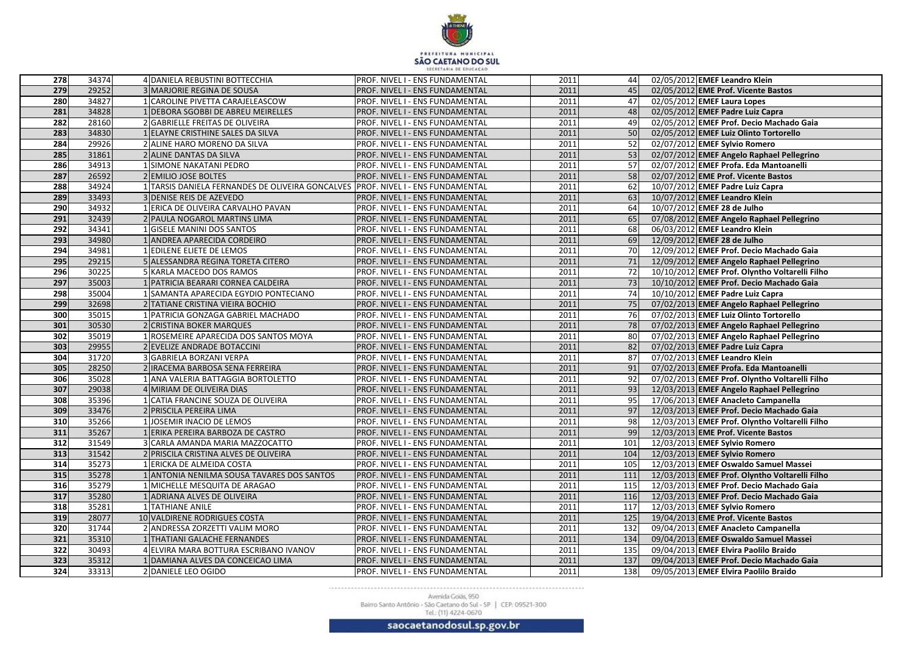

| 278              | 34374          | 4 DANIELA REBUSTINI BOTTECCHIA                                     | PROF. NIVEL I - ENS FUNDAMENTAL                                    | 2011         | 44       | 02/05/2012 EMEF Leandro Klein                                                   |
|------------------|----------------|--------------------------------------------------------------------|--------------------------------------------------------------------|--------------|----------|---------------------------------------------------------------------------------|
| 279              | 29252          | <b>3 MARJORIE REGINA DE SOUSA</b>                                  | PROF. NIVEL I - ENS FUNDAMENTAL                                    | 2011         | 45       | 02/05/2012 EME Prof. Vicente Bastos                                             |
| 280              | 34827          | CAROLINE PIVETTA CARAJELEASCOW                                     | PROF. NIVEL I - ENS FUNDAMENTAL                                    | 2011         | 47       | 02/05/2012 EMEF Laura Lopes                                                     |
| 281              | 34828          | 1 DEBORA SGOBBI DE ABREU MEIRELLES                                 | PROF. NIVEL I - ENS FUNDAMENTAL                                    | 2011         | 48I      | 02/05/2012 EMEF Padre Luiz Capra                                                |
| 282              | 28160          | 2 GABRIELLE FREITAS DE OLIVEIRA                                    | PROF. NIVEL I - ENS FUNDAMENTAL                                    | 2011         | 49       | 02/05/2012 EMEF Prof. Decio Machado Gaia                                        |
| 283              | 34830          | ELAYNE CRISTHINE SALES DA SILVA                                    | PROF. NIVEL I - ENS FUNDAMENTAL                                    | 2011         | 50       | 02/05/2012 EMEF Luiz Olinto Tortorello                                          |
| 284              | 29926          | ALINE HARO MORENO DA SILVA                                         | PROF. NIVEL I - ENS FUNDAMENTAL                                    | 2011         | 52       | 02/07/2012 EMEF Sylvio Romero                                                   |
| 285              | 31861          | <b>ALINE DANTAS DA SILVA</b>                                       | PROF. NIVEL I - ENS FUNDAMENTAL                                    | 2011         | 53       | 02/07/2012 EMEF Angelo Raphael Pellegrino                                       |
| 286              | 34913          | <b>SIMONE NAKATANI PEDRO</b>                                       | PROF. NIVEL I - ENS FUNDAMENTAL                                    | 2011         | 57       | 02/07/2012 EMEF Profa. Eda Mantoanelli                                          |
| 287              | 26592          | 2 EMILIO JOSE BOLTES                                               | PROF. NIVEL I - ENS FUNDAMENTAL                                    | 2011         | 58       | 02/07/2012 EME Prof. Vicente Bastos                                             |
| 288              | 34924          | TARSIS DANIELA FERNANDES DE OLIVEIRA GONCALVES                     | PROF. NIVEL I - ENS FUNDAMENTAL                                    | 2011         | 62       | 10/07/2012 EMEF Padre Luiz Capra                                                |
| 289              | 33493          | <b>DENISE REIS DE AZEVEDO</b>                                      | PROF. NIVEL I - ENS FUNDAMENTAL                                    | 2011         | 63       | 10/07/2012 EMEF Leandro Klein                                                   |
| 290              | 34932          | ERICA DE OLIVEIRA CARVALHO PAVAN                                   | PROF. NIVEL I - ENS FUNDAMENTAL                                    | 2011         | 64       | 10/07/2012 EMEF 28 de Julho                                                     |
| 291              | 32439          | 2 PAULA NOGAROL MARTINS LIMA                                       | PROF. NIVEL I - ENS FUNDAMENTAL                                    | 2011         | 65       | 07/08/2012 EMEF Angelo Raphael Pellegrino                                       |
| 292              | 34341          | <b>GISELE MANINI DOS SANTOS</b>                                    | PROF. NIVEL I - ENS FUNDAMENTAL                                    | 2011         | 68       | 06/03/2012 EMEF Leandro Klein                                                   |
| 293              | 34980          | ANDREA APARECIDA CORDEIRO                                          | PROF. NIVEL I - ENS FUNDAMENTAL                                    | 2011         | 69       | 12/09/2012 EMEF 28 de Julho                                                     |
| 294              | 34981          | EDILENE ELIETE DE LEMOS                                            | PROF. NIVEL I - ENS FUNDAMENTAL                                    | 2011         | 70       | 12/09/2012 EMEF Prof. Decio Machado Gaia                                        |
| 295              | 29215          | ALESSANDRA REGINA TORETA CITERO                                    | PROF. NIVEL I - ENS FUNDAMENTAL                                    | 2011         | 71       | 12/09/2012 EMEF Angelo Raphael Pellegrino                                       |
| 296              | 30225          | KARLA MACEDO DOS RAMOS                                             | PROF. NIVEL I - ENS FUNDAMENTAL                                    | 2011         | 72       | 10/10/2012 EMEF Prof. Olyntho Voltarelli Filho                                  |
| 297              | 35003          | PATRICIA BEARARI CORNEA CALDEIRA                                   | PROF. NIVEL I - ENS FUNDAMENTAL                                    | 2011         | 73       | 10/10/2012 EMEF Prof. Decio Machado Gaia                                        |
| 298              | 35004          | SAMANTA APARECIDA EGYDIO PONTECIANO                                | PROF. NIVEL I - ENS FUNDAMENTAL                                    | 2011         | 74       | 10/10/2012 EMEF Padre Luiz Capra                                                |
| 299              | 32698          | 2 TATIANE CRISTINA VIEIRA BOCHIO                                   | PROF. NIVEL I - ENS FUNDAMENTAL                                    | 2011         | 75       | 07/02/2013 EMEF Angelo Raphael Pellegrino                                       |
| 300              | 35015          | PATRICIA GONZAGA GABRIEL MACHADO                                   | PROF. NIVEL I - ENS FUNDAMENTAL                                    | 2011         | 76       | 07/02/2013 EMEF Luiz Olinto Tortorello                                          |
| 301              | 30530          | <b>CRISTINA BOKER MARQUES</b>                                      | PROF. NIVEL I - ENS FUNDAMENTAL                                    | 2011         | 78       | 07/02/2013 EMEF Angelo Raphael Pellegrino                                       |
| 302              | 35019          | ROSEMEIRE APARECIDA DOS SANTOS MOYA                                | PROF. NIVEL I - ENS FUNDAMENTAL                                    | 2011         | 80       | 07/02/2013 EMEF Angelo Raphael Pellegrino                                       |
| 303              | 29955          | 2 EVELIZE ANDRADE BOTACCINI                                        | PROF. NIVEL I - ENS FUNDAMENTAL                                    | 2011         | 82       | 07/02/2013 EMEF Padre Luiz Capra                                                |
| 304              | 31720          | <b>GABRIELA BORZANI VERPA</b>                                      | PROF. NIVEL I - ENS FUNDAMENTAL                                    | 2011         | 87       | 07/02/2013 EMEF Leandro Klein                                                   |
| 305              | 28250          | IRACEMA BARBOSA SENA FERREIRA                                      | PROF. NIVEL I - ENS FUNDAMENTAL                                    | 2011         | 91       | 07/02/2013 EMEF Profa. Eda Mantoanelli                                          |
| 306              | 35028          | ANA VALERIA BATTAGGIA BORTOLETTO                                   | PROF. NIVEL I - ENS FUNDAMENTAL                                    | 2011         | 92       | 07/02/2013 EMEF Prof. Olyntho Voltarelli Filho                                  |
| 307              | 29038          | MIRIAM DE OLIVEIRA DIAS                                            | PROF. NIVEL I - ENS FUNDAMENTAL                                    | 2011         | 93       | 12/03/2013 EMEF Angelo Raphael Pellegrino                                       |
| 308<br>309       | 35396<br>33476 | CATIA FRANCINE SOUZA DE OLIVEIRA                                   | PROF. NIVEL I - ENS FUNDAMENTAL                                    | 2011<br>2011 | 95       | 17/06/2013 EMEF Anacleto Campanella<br>12/03/2013 EMEF Prof. Decio Machado Gaia |
| 310              | 35266          | 2 PRISCILA PEREIRA LIMA                                            | PROF. NIVEL I - ENS FUNDAMENTAL                                    | 2011         | 97       |                                                                                 |
| 311              | 35267          | JOSEMIR INACIO DE LEMOS                                            | PROF. NIVEL I - ENS FUNDAMENTAL                                    | 2011         | 98<br>99 | 12/03/2013 EMEF Prof. Olyntho Voltarelli Filho                                  |
| 312              | 31549          | ERIKA PEREIRA BARBOZA DE CASTRO<br>3 CARLA AMANDA MARIA MAZZOCATTO | PROF. NIVEL I - ENS FUNDAMENTAL<br>PROF. NIVEL I - ENS FUNDAMENTAL | 2011         | 101      | 12/03/2013 EME Prof. Vicente Bastos<br>12/03/2013 EMEF Sylvio Romero            |
| 313              | 31542          | 2 PRISCILA CRISTINA ALVES DE OLIVEIRA                              | PROF. NIVEL I - ENS FUNDAMENTAL                                    | 2011         | 104      | 12/03/2013 EMEF Sylvio Romero                                                   |
| 314              | 35273          | <b>ERICKA DE ALMEIDA COSTA</b>                                     | PROF. NIVEL I - ENS FUNDAMENTAL                                    | 2011         | 105      | 12/03/2013 EMEF Oswaldo Samuel Massei                                           |
| 315              | 35278          | 1 ANTONIA NENILMA SOUSA TAVARES DOS SANTOS                         | PROF. NIVEL I - ENS FUNDAMENTAL                                    | 2011         | 111      | 12/03/2013 EMEF Prof. Olyntho Voltarelli Filho                                  |
| 316              | 35279          | 1 MICHELLE MESQUITA DE ARAGAO                                      | PROF. NIVEL I - ENS FUNDAMENTAL                                    | 2011         | 115      | 12/03/2013 EMEF Prof. Decio Machado Gaia                                        |
| 317              | 35280          | ADRIANA ALVES DE OLIVEIRA                                          | PROF. NIVEL I - ENS FUNDAMENTAL                                    | 2011         | 116      | 12/03/2013 EMEF Prof. Decio Machado Gaia                                        |
| 318              | 35281          | 1 TATHIANE ANILE                                                   | PROF. NIVEL I - ENS FUNDAMENTAL                                    | 2011         | 117      | 12/03/2013 EMEF Sylvio Romero                                                   |
| 319              | 28077          | 10 VALDIRENE RODRIGUES COSTA                                       | PROF. NIVEL I - ENS FUNDAMENTAL                                    | 2011         | 125      | 19/04/2013 EME Prof. Vicente Bastos                                             |
| 320              | 31744          | 2 ANDRESSA ZORZETTI VALIM MORO                                     | PROF. NIVEL I - ENS FUNDAMENTAL                                    | 2011         | 132      | 09/04/2013 EMEF Anacleto Campanella                                             |
| 321              | 35310          | 1 THATIANI GALACHE FERNANDES                                       | PROF. NIVEL I - ENS FUNDAMENTAL                                    | 2011         | 134      | 09/04/2013 EMEF Oswaldo Samuel Massei                                           |
| $\overline{322}$ | 30493          | 4 ELVIRA MARA BOTTURA ESCRIBANO IVANOV                             | PROF. NIVEL I - ENS FUNDAMENTAL                                    | 2011         | 135      | 09/04/2013 EMEF Elvira Paolilo Braido                                           |
| $\overline{323}$ | 35312          | 1 DAMIANA ALVES DA CONCEICAO LIMA                                  | PROF. NIVEL I - ENS FUNDAMENTAL                                    | 2011         | 137      | 09/04/2013 EMEF Prof. Decio Machado Gaia                                        |
| 324              | 33313          | 2 DANIELE LEO OGIDO                                                | PROF. NIVEL I - ENS FUNDAMENTAL                                    | 2011         | 138      | 09/05/2013 EMEF Elvira Paolilo Braido                                           |
|                  |                |                                                                    |                                                                    |              |          |                                                                                 |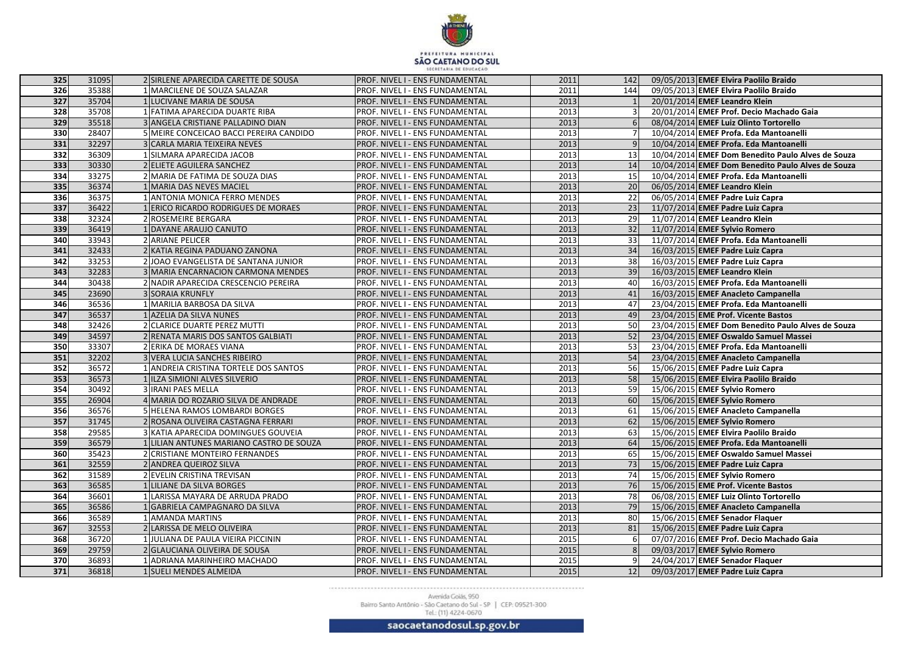

| 325              | 31095 | 2 SIRLENE APARECIDA CARETTE DE SOUSA     | PROF. NIVEL I - ENS FUNDAMENTAL | 2011 | 142 I           | 09/05/2013 EMEF Elvira Paolilo Braido             |
|------------------|-------|------------------------------------------|---------------------------------|------|-----------------|---------------------------------------------------|
| 326              | 35388 | MARCILENE DE SOUZA SALAZAR               | PROF. NIVEL I - ENS FUNDAMENTAL | 2011 | 144             | 09/05/2013 EMEF Elvira Paolilo Braido             |
| 327              | 35704 | LUCIVANE MARIA DE SOUSA                  | PROF. NIVEL I - ENS FUNDAMENTAL | 2013 |                 | 20/01/2014 EMEF Leandro Klein                     |
| 328              | 35708 | <b>FATIMA APARECIDA DUARTE RIBA</b>      | PROF. NIVEL I - ENS FUNDAMENTAL | 2013 |                 | 20/01/2014 EMEF Prof. Decio Machado Gaia          |
| 329              | 35518 | 3 ANGELA CRISTIANE PALLADINO DIAN        | PROF. NIVEL I - ENS FUNDAMENTAL | 2013 |                 | 08/04/2014 EMEF Luiz Olinto Tortorello            |
| 330              | 28407 | MEIRE CONCEICAO BACCI PEREIRA CANDIDO    | PROF. NIVEL I - ENS FUNDAMENTAL | 2013 |                 | 10/04/2014 EMEF Profa. Eda Mantoanelli            |
| 331              | 32297 | CARLA MARIA TEIXEIRA NEVES               | PROF. NIVEL I - ENS FUNDAMENTAL | 2013 |                 | 10/04/2014 EMEF Profa. Eda Mantoanelli            |
| 332              | 36309 | SILMARA APARECIDA JACOB                  | PROF. NIVEL I - ENS FUNDAMENTAL | 2013 | 13              | 10/04/2014 EMEF Dom Benedito Paulo Alves de Souza |
| 333              | 30330 | 2 ELIETE AGUILERA SANCHEZ                | PROF. NIVEL I - ENS FUNDAMENTAL | 2013 | 14              | 10/04/2014 EMEF Dom Benedito Paulo Alves de Souza |
| 334              | 33275 | 2 MARIA DE FATIMA DE SOUZA DIAS          | PROF. NIVEL I - ENS FUNDAMENTAL | 2013 | 15              | 10/04/2014 EMEF Profa. Eda Mantoanelli            |
| 335              | 36374 | MARIA DAS NEVES MACIEL                   | PROF. NIVEL I - ENS FUNDAMENTAL | 2013 | 20              | 06/05/2014 EMEF Leandro Klein                     |
| 336              | 36375 | <b>ANTONIA MONICA FERRO MENDES</b>       | PROF. NIVEL I - ENS FUNDAMENTAL | 2013 | 22              | 06/05/2014 EMEF Padre Luiz Capra                  |
| $\boxed{337}$    | 36422 | <b>ERICO RICARDO RODRIGUES DE MORAES</b> | PROF. NIVEL I - ENS FUNDAMENTAL | 2013 | 23              | 11/07/2014 EMEF Padre Luiz Capra                  |
| 338              | 32324 | 2 ROSEMEIRE BERGARA                      | PROF. NIVEL I - ENS FUNDAMENTAL | 2013 | 29              | 11/07/2014 EMEF Leandro Klein                     |
| 339              | 36419 | DAYANE ARAUJO CANUTO                     | PROF. NIVEL I - ENS FUNDAMENTAL | 2013 | 32              | 11/07/2014 EMEF Sylvio Romero                     |
| 340              | 33943 | 2 ARIANE PELICER                         | PROF. NIVEL I - ENS FUNDAMENTAL | 2013 | 33              | 11/07/2014 EMEF Profa. Eda Mantoanelli            |
| 341              | 32433 | 2 KATIA REGINA PADUANO ZANONA            | PROF. NIVEL I - ENS FUNDAMENTAL | 2013 | 34              | 16/03/2015 EMEF Padre Luiz Capra                  |
| 342              | 33253 | 2 JOAO EVANGELISTA DE SANTANA JUNIOR     | PROF. NIVEL I - ENS FUNDAMENTAL | 2013 | 38              | 16/03/2015 EMEF Padre Luiz Capra                  |
| $\overline{343}$ | 32283 | 3 MARIA ENCARNACION CARMONA MENDES       | PROF. NIVEL I - ENS FUNDAMENTAL | 2013 | 39              | 16/03/2015 EMEF Leandro Klein                     |
| 344              | 30438 | 2 NADIR APARECIDA CRESCENCIO PEREIRA     | PROF. NIVEL I - ENS FUNDAMENTAL | 2013 | 40              | 16/03/2015 EMEF Profa. Eda Mantoanelli            |
| 345              | 23690 | <b>3 SORAIA KRUNFLY</b>                  | PROF. NIVEL I - ENS FUNDAMENTAL | 2013 | 41              | 16/03/2015 EMEF Anacleto Campanella               |
| 346              | 36536 | MARILIA BARBOSA DA SILVA                 | PROF. NIVEL I - ENS FUNDAMENTAL | 2013 | 47              | 23/04/2015 EMEF Profa. Eda Mantoanelli            |
| 347              | 36537 | AZELIA DA SILVA NUNES                    | PROF. NIVEL I - ENS FUNDAMENTAL | 2013 | 49              | 23/04/2015 EME Prof. Vicente Bastos               |
| 348              | 32426 | 2 CLARICE DUARTE PEREZ MUTTI             | PROF. NIVEL I - ENS FUNDAMENTAL | 2013 | 50              | 23/04/2015 EMEF Dom Benedito Paulo Alves de Souza |
| 349              | 34597 | 2 RENATA MARIS DOS SANTOS GALBIATI       | PROF. NIVEL I - ENS FUNDAMENTAL | 2013 | 52              | 23/04/2015 EMEF Oswaldo Samuel Massei             |
| 350              | 33307 | 2 ERIKA DE MORAES VIANA                  | PROF. NIVEL I - ENS FUNDAMENTAL | 2013 | 53              | 23/04/2015 EMEF Profa. Eda Mantoanelli            |
| 351              | 32202 | 3 VERA LUCIA SANCHES RIBEIRO             | PROF. NIVEL I - ENS FUNDAMENTAL | 2013 | 54              | 23/04/2015 EMEF Anacleto Campanella               |
| 352              | 36572 | ANDREIA CRISTINA TORTELE DOS SANTOS      | PROF. NIVEL I - ENS FUNDAMENTAL | 2013 | 56              | 15/06/2015 EMEF Padre Luiz Capra                  |
| 353              | 36573 | ILZA SIMIONI ALVES SILVERIO              | PROF. NIVEL I - ENS FUNDAMENTAL | 2013 | 58              | 15/06/2015 EMEF Elvira Paolilo Braido             |
| 354              | 30492 | 3 IRANI PAES MELLA                       | PROF. NIVEL I - ENS FUNDAMENTAL | 2013 | 59              | 15/06/2015 EMEF Sylvio Romero                     |
| 355              | 26904 | 4 MARIA DO ROZARIO SILVA DE ANDRADE      | PROF. NIVEL I - ENS FUNDAMENTAL | 2013 | 60              | 15/06/2015 EMEF Sylvio Romero                     |
| 356              | 36576 | 5 HELENA RAMOS LOMBARDI BORGES           | PROF. NIVEL I - ENS FUNDAMENTAL | 2013 | 61              | 15/06/2015 EMEF Anacleto Campanella               |
| 357              | 31745 | 2 ROSANA OLIVEIRA CASTAGNA FERRARI       | PROF. NIVEL I - ENS FUNDAMENTAL | 2013 | 62              | 15/06/2015 EMEF Sylvio Romero                     |
| 358              | 29585 | 3 KATIA APARECIDA DOMINGUES GOUVEIA      | PROF. NIVEL I - ENS FUNDAMENTAL | 2013 | 63              | 15/06/2015 EMEF Elvira Paolilo Braido             |
| 359              | 36579 | 1 LILIAN ANTUNES MARIANO CASTRO DE SOUZA | PROF. NIVEL I - ENS FUNDAMENTAL | 2013 | 64              | 15/06/2015 EMEF Profa. Eda Mantoanelli            |
| 360              | 35423 | 2 CRISTIANE MONTEIRO FERNANDES           | PROF. NIVEL I - ENS FUNDAMENTAL | 2013 | 65              | 15/06/2015 EMEF Oswaldo Samuel Massei             |
| 361              | 32559 | 2 ANDREA QUEIROZ SILVA                   | PROF. NIVEL I - ENS FUNDAMENTAL | 2013 | 73              | 15/06/2015 EMEF Padre Luiz Capra                  |
| 362              | 31589 | 2 EVELIN CRISTINA TREVISAN               | PROF. NIVEL I - ENS FUNDAMENTAL | 2013 | 74              | 15/06/2015 EMEF Sylvio Romero                     |
| 363              | 36585 | 1 LILIANE DA SILVA BORGES                | PROF. NIVEL I - ENS FUNDAMENTAL | 2013 | 76I             | 15/06/2015 EME Prof. Vicente Bastos               |
| 364              | 36601 | LARISSA MAYARA DE ARRUDA PRADO           | PROF. NIVEL I - ENS FUNDAMENTAL | 2013 | 78              | 06/08/2015 EMEF Luiz Olinto Tortorello            |
| 365              | 36586 | GABRIELA CAMPAGNARO DA SILVA             | PROF. NIVEL I - ENS FUNDAMENTAL | 2013 | 79              | 15/06/2015 EMEF Anacleto Campanella               |
| 366              | 36589 | 1 AMANDA MARTINS                         | PROF. NIVEL I - ENS FUNDAMENTAL | 2013 | 80 I            | 15/06/2015 EMEF Senador Flaquer                   |
| 367              | 32553 | 2 LARISSA DE MELO OLIVEIRA               | PROF. NIVEL I - ENS FUNDAMENTAL | 2013 | 81              | 15/06/2015 EMEF Padre Luiz Capra                  |
| 368              | 36720 | JULIANA DE PAULA VIEIRA PICCININ         | PROF. NIVEL I - ENS FUNDAMENTAL | 2015 | 6               | 07/07/2016 EMEF Prof. Decio Machado Gaia          |
| 369              | 29759 | 2 GLAUCIANA OLIVEIRA DE SOUSA            | PROF. NIVEL I - ENS FUNDAMENTAL | 2015 |                 | 09/03/2017 EMEF Sylvio Romero                     |
| 370              | 36893 | ADRIANA MARINHEIRO MACHADO.              | PROF. NIVEL I - ENS FUNDAMENTAL | 2015 |                 | 24/04/2017 EMEF Senador Flaquer                   |
| 371              | 36818 | 1 SUELI MENDES ALMEIDA                   | PROF. NIVEL I - ENS FUNDAMENTAL | 2015 | 12 <sup>1</sup> | 09/03/2017 EMEF Padre Luiz Capra                  |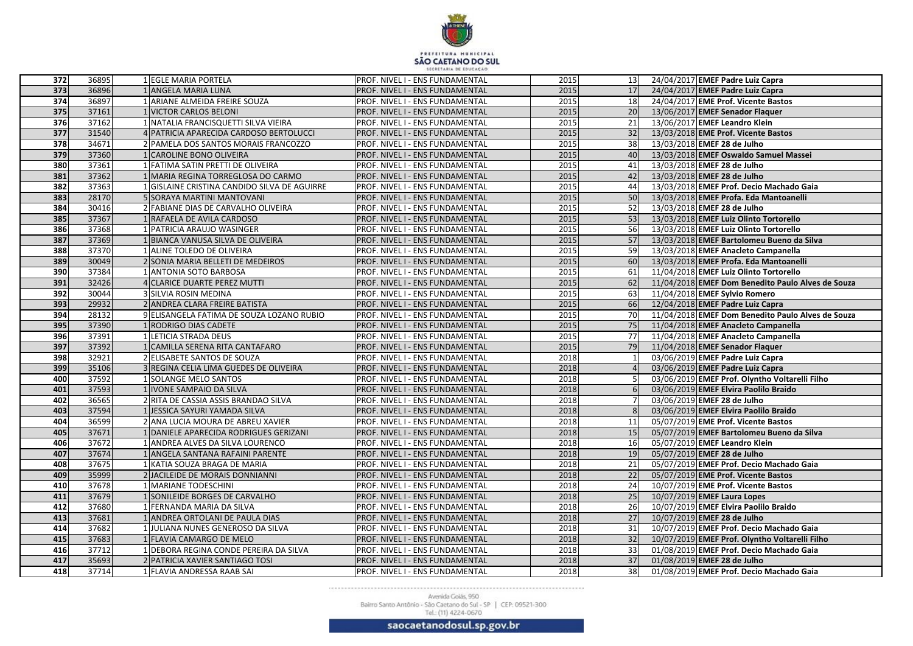

| 372              | 36895          | 1 EGLE MARIA PORTELA                                   | PROF. NIVEL I - ENS FUNDAMENTAL                                    | 2015         | 13 <sup>1</sup>       | 24/04/2017 EMEF Padre Luiz Capra                                   |
|------------------|----------------|--------------------------------------------------------|--------------------------------------------------------------------|--------------|-----------------------|--------------------------------------------------------------------|
| $\overline{373}$ | 36896          | 1 ANGELA MARIA LUNA                                    | PROF. NIVEL I - ENS FUNDAMENTAL                                    | 2015         | 17                    | 24/04/2017 EMEF Padre Luiz Capra                                   |
| 374              | 36897          | 1 ARIANE ALMEIDA FREIRE SOUZA                          | PROF. NIVEL I - ENS FUNDAMENTAL                                    | 2015         | 18                    | 24/04/2017 EME Prof. Vicente Bastos                                |
| 375              | 37161          | 1 VICTOR CARLOS BELONI                                 | PROF. NIVEL I - ENS FUNDAMENTAL                                    | 2015         | 20                    | 13/06/2017 EMEF Senador Flaquer                                    |
| 376              | 37162          | 1 NATALIA FRANCISQUETTI SILVA VIEIRA                   | PROF. NIVEL I - ENS FUNDAMENTAL                                    | 2015         | 21                    | 13/06/2017 EMEF Leandro Klein                                      |
| 377              | 31540          | 4 PATRICIA APARECIDA CARDOSO BERTOLUCCI                | PROF. NIVEL I - ENS FUNDAMENTAL                                    | 2015         | 32                    | 13/03/2018 EME Prof. Vicente Bastos                                |
| 378              | 34671          | 2 PAMELA DOS SANTOS MORAIS FRANCOZZO                   | PROF. NIVEL I - ENS FUNDAMENTAL                                    | 2015         | 38                    | 13/03/2018 EMEF 28 de Julho                                        |
| 379              | 37360          | <b>CAROLINE BONO OLIVEIRA</b>                          | PROF. NIVEL I - ENS FUNDAMENTAL                                    | 2015         | 40 I                  | 13/03/2018 EMEF Oswaldo Samuel Massei                              |
| 380              | 37361          | FATIMA SATIN PRETTI DE OLIVEIRA                        | PROF. NIVEL I - ENS FUNDAMENTAL                                    | 2015         | 41                    | 13/03/2018 EMEF 28 de Julho                                        |
| 381              | 37362          | MARIA REGINA TORREGLOSA DO CARMO                       | PROF. NIVEL I - ENS FUNDAMENTAL                                    | 2015         | 42                    | 13/03/2018 EMEF 28 de Julho                                        |
| 382              | 37363          | <b>GISLAINE CRISTINA CANDIDO SILVA DE AGUIRRE</b>      | PROF. NIVEL I - ENS FUNDAMENTAL                                    | 2015         | 44                    | 13/03/2018 EMEF Prof. Decio Machado Gaia                           |
| 383              | 28170          | 5 SORAYA MARTINI MANTOVANI                             | PROF. NIVEL I - ENS FUNDAMENTAL                                    | 2015         | 50                    | 13/03/2018 EMEF Profa. Eda Mantoanelli                             |
| 384              | 30416          | 2 FABIANE DIAS DE CARVALHO OLIVEIRA                    | PROF. NIVEL I - ENS FUNDAMENTAL                                    | 2015         | 52                    | 13/03/2018 EMEF 28 de Julho                                        |
| 385              | 37367          | RAFAELA DE AVILA CARDOSO                               | PROF. NIVEL I - ENS FUNDAMENTAL                                    | 2015         | 53                    | 13/03/2018 EMEF Luiz Olinto Tortorello                             |
| 386              | 37368          | PATRICIA ARAUJO WASINGER                               | PROF. NIVEL I - ENS FUNDAMENTAL                                    | 2015         | 56                    | 13/03/2018 EMEF Luiz Olinto Tortorello                             |
| 387              | 37369          | BIANCA VANUSA SILVA DE OLIVEIRA                        | PROF. NIVEL I - ENS FUNDAMENTAL                                    | 2015         | 57                    | 13/03/2018 EMEF Bartolomeu Bueno da Silva                          |
| 388              | 37370          | ALINE TOLEDO DE OLIVEIRA                               | PROF. NIVEL I - ENS FUNDAMENTAL                                    | 2015         | 59                    | 13/03/2018 EMEF Anacleto Campanella                                |
| 389              | 30049          | SONIA MARIA BELLETI DE MEDEIROS                        | PROF. NIVEL I - ENS FUNDAMENTAL                                    | 2015         | 60                    | 13/03/2018 EMEF Profa. Eda Mantoanelli                             |
| 390              | 37384          | <b>ANTONIA SOTO BARBOSA</b>                            | PROF. NIVEL I - ENS FUNDAMENTAL                                    | 2015         | 61                    | 11/04/2018 EMEF Luiz Olinto Tortorello                             |
| 391              | 32426          | 4 CLARICE DUARTE PEREZ MUTTI                           | PROF. NIVEL I - ENS FUNDAMENTAL                                    | 2015         | 62                    | 11/04/2018 EMEF Dom Benedito Paulo Alves de Souza                  |
| 392              | 30044          | 3 SILVIA ROSIN MEDINA                                  | PROF. NIVEL I - ENS FUNDAMENTAL                                    | 2015         | 63                    | 11/04/2018 EMEF Sylvio Romero                                      |
| 393              | 29932          | 2 ANDREA CLARA FREIRE BATISTA                          | PROF. NIVEL I - ENS FUNDAMENTAL                                    | 2015         | <b>66</b>             | 12/04/2018 EMEF Padre Luiz Capra                                   |
| 394              | 28132          | 9 ELISANGELA FATIMA DE SOUZA LOZANO RUBIO              | PROF. NIVEL I - ENS FUNDAMENTAL                                    | 2015         | <b>70</b>             | 11/04/2018 EMEF Dom Benedito Paulo Alves de Souza                  |
| 395              | 37390          | RODRIGO DIAS CADETE                                    | PROF. NIVEL I - ENS FUNDAMENTAL                                    | 2015         | 75                    | 11/04/2018 EMEF Anacleto Campanella                                |
| 396              | 37391          | LETICIA STRADA DEUS                                    | PROF. NIVEL I - ENS FUNDAMENTAL                                    | 2015         | 77I                   | 11/04/2018 EMEF Anacleto Campanella                                |
| 397              | 37392          | CAMILLA SERENA RITA CANTAFARO                          | PROF. NIVEL I - ENS FUNDAMENTAL                                    | 2015         | 79                    | 11/04/2018 EMEF Senador Flaquer                                    |
| 398              | 32921          | 2 ELISABETE SANTOS DE SOUZA                            | PROF. NIVEL I - ENS FUNDAMENTAL                                    | 2018         |                       | 03/06/2019 EMEF Padre Luiz Capra                                   |
| 399              | 35106          | 3 REGINA CELIA LIMA GUEDES DE OLIVEIRA                 | PROF. NIVEL I - ENS FUNDAMENTAL                                    | 2018         |                       | 03/06/2019 EMEF Padre Luiz Capra                                   |
| 400              | 37592          | SOLANGE MELO SANTOS                                    | PROF. NIVEL I - ENS FUNDAMENTAL                                    | 2018         |                       | 03/06/2019 EMEF Prof. Olyntho Voltarelli Filho                     |
| 401              | 37593          | <b>IVONE SAMPAIO DA SILVA</b>                          | PROF. NIVEL I - ENS FUNDAMENTAL                                    | 2018         |                       | 03/06/2019 EMEF Elvira Paolilo Braido                              |
| 402              | 36565          | 2 RITA DE CASSIA ASSIS BRANDAO SILVA                   | PROF. NIVEL I - ENS FUNDAMENTAL                                    | 2018         |                       | 03/06/2019 EMEF 28 de Julho                                        |
| 403              | 37594          | 1 JESSICA SAYURI YAMADA SILVA                          | PROF. NIVEL I - ENS FUNDAMENTAL                                    | 2018         |                       | 03/06/2019 EMEF Elvira Paolilo Braido                              |
| 404              | 36599          | 2 ANA LUCIA MOURA DE ABREU XAVIER                      | PROF. NIVEL I - ENS FUNDAMENTAL                                    | 2018         | 11                    | 05/07/2019 EME Prof. Vicente Bastos                                |
| 405<br>406       | 37671          | DANIELE APARECIDA RODRIGUES GERIZANI                   | PROF. NIVEL I - ENS FUNDAMENTAL                                    | 2018         | 15                    | 05/07/2019 EMEF Bartolomeu Bueno da Silva                          |
| 407              | 37672<br>37674 | 1 ANDREA ALVES DA SILVA LOURENCO                       | PROF. NIVEL I - ENS FUNDAMENTAL                                    | 2018<br>2018 | 16<br>19              | 05/07/2019 EMEF Leandro Klein                                      |
|                  |                | 1 ANGELA SANTANA RAFAINI PARENTE                       | PROF. NIVEL I - ENS FUNDAMENTAL                                    |              |                       | 05/07/2019 EMEF 28 de Julho                                        |
| 408              | 37675          | 1 KATIA SOUZA BRAGA DE MARIA                           | PROF. NIVEL I - ENS FUNDAMENTAL                                    | 2018         | 21<br>$\overline{22}$ | 05/07/2019 EMEF Prof. Decio Machado Gaia                           |
| 409<br>410       | 35999<br>37678 | 2 JACILEIDE DE MORAIS DONNIANNI                        | PROF. NIVEL I - ENS FUNDAMENTAL<br>PROF. NIVEL I - ENS FUNDAMENTAL | 2018<br>2018 | 24                    | 05/07/2019 EME Prof. Vicente Bastos                                |
| 411              | 37679          | 1 MARIANE TODESCHINI<br>1 SONILEIDE BORGES DE CARVALHO | PROF. NIVEL I - ENS FUNDAMENTAL                                    | 2018         | 25                    | 10/07/2019 EME Prof. Vicente Bastos<br>10/07/2019 EMEF Laura Lopes |
| 412              | 37680          | 1 FERNANDA MARIA DA SILVA                              | PROF. NIVEL I - ENS FUNDAMENTAL                                    | 2018         | 26                    | 10/07/2019 EMEF Elvira Paolilo Braido                              |
| 413              | 37681          | 1 ANDREA ORTOLANI DE PAULA DIAS                        | PROF. NIVEL I - ENS FUNDAMENTAL                                    | 2018         | 27                    | 10/07/2019 EMEF 28 de Julho                                        |
| 414              | 37682          | 1 JULIANA NUNES GENEROSO DA SILVA                      | PROF. NIVEL I - ENS FUNDAMENTAL                                    | 2018         | 31                    | 10/07/2019 EMEF Prof. Decio Machado Gaia                           |
| 415              | 37683          | 1 FLAVIA CAMARGO DE MELO                               | PROF. NIVEL I - ENS FUNDAMENTAL                                    | 2018         | 32                    | 10/07/2019 EMEF Prof. Olyntho Voltarelli Filho                     |
| 416              | 37712          | <b>DEBORA REGINA CONDE PEREIRA DA SILVA</b>            | PROF. NIVEL I - ENS FUNDAMENTAL                                    | 2018         | 33                    | 01/08/2019 EMEF Prof. Decio Machado Gaia                           |
| 417              | 35693          | 2 PATRICIA XAVIER SANTIAGO TOSI                        | PROF. NIVEL I - ENS FUNDAMENTAL                                    | 2018         | 37                    | 01/08/2019 EMEF 28 de Julho                                        |
| 418              | 37714          | 1 FLAVIA ANDRESSA RAAB SAI                             | PROF. NIVEL I - ENS FUNDAMENTAL                                    | 2018         | 38                    | 01/08/2019 EMEF Prof. Decio Machado Gaia                           |
|                  |                |                                                        |                                                                    |              |                       |                                                                    |